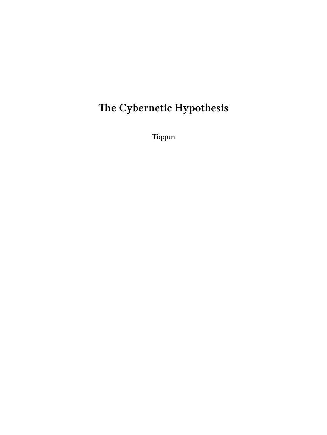# The Cybernetic Hypothesis

Tiqqun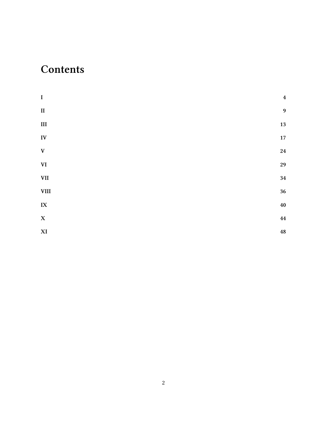# Contents

| $\mathbf I$            | $\overline{\mathbf{4}}$ |
|------------------------|-------------------------|
| $\rm II$               | $\overline{9}$          |
| $\mathbf{III}$         | 13                      |
| $\overline{\text{IV}}$ | 17                      |
| $\mathbf V$            | 24                      |
| $\mathbf{V}\mathbf{I}$ | 29                      |
| ${\bf VII}$            | 34                      |
| ${\bf VIII}$           | 36                      |
| ${\bf I} {\bf X}$      | 40                      |
| $\mathbf X$            | 44                      |
| $\mathbf{X}\mathbf{I}$ | 48                      |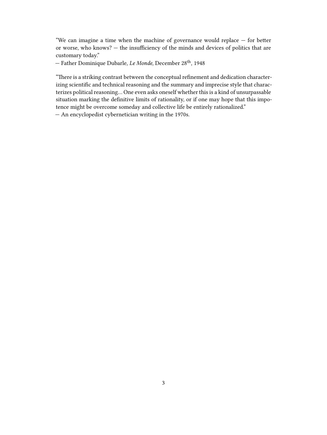"We can imagine a time when the machine of governance would replace  $-$  for better or worse, who knows? - the insufficiency of the minds and devices of politics that are customary today."

- Father Dominique Dubarle, Le Monde, December 28<sup>th</sup>, 1948

"There is a striking contrast between the conceptual refinement and dedication characterizing scientific and technical reasoning and the summary and imprecise style that characterizes political reasoning... One even asks oneself whether this is a kind of unsurpassable situation marking the definitive limits of rationality, or if one may hope that this impotence might be overcome someday and collective life be entirely rationalized."

 $-$  An encyclopedist cybernetician writing in the 1970s.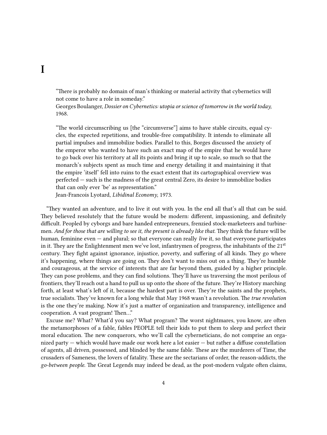#### <span id="page-3-0"></span> $\mathbf{I}$

"There is probably no domain of man's thinking or material activity that cybernetics will not come to have a role in someday."

Georges Boulanger, Dossier on Cybernetics: utopia or science of tomorrow in the world today, 1968.

"The world circumscribing us [the "circumverse"] aims to have stable circuits, equal cycles, the expected repetitions, and trouble-free compatibility. It intends to eliminate all partial impulses and immobilize bodies. Parallel to this, Borges discussed the anxiety of the emperor who wanted to have such an exact map of the empire that he would have to go back over his territory at all its points and bring it up to scale, so much so that the monarch's subjects spent as much time and energy detailing it and maintaining it that the empire 'itself' fell into ruins to the exact extent that its cartographical overview was perfected – such is the madness of the great central Zero, its desire to immobilize bodies that can only ever 'be' as representation."

Jean-Francois Lyotard, Libidinal Economy, 1973.

"They wanted an adventure, and to live it out with you. In the end all that's all that can be said. They believed resolutely that the future would be modern: different, impassioning, and definitely difficult. Peopled by cyborgs and bare handed entrepreneurs, frenzied stock-marketeers and turbinemen. And for those that are willing to see it, the present is already like that. They think the future will be human, feminine even  $-$  and plural; so that everyone can really *live* it, so that everyone participates in it. They are the Enlightenment men we've lost, infantrymen of progress, the inhabitants of the 21<sup>st</sup> century. They fight against ignorance, injustice, poverty, and suffering of all kinds. They go where it's happening, where things are going on. They don't want to miss out on a thing. They're humble and courageous, at the service of interests that are far beyond them, guided by a higher principle. They can pose problems, and they can find solutions. They'll have us traversing the most perilous of frontiers, they'll reach out a hand to pull us up onto the shore of the future. They're History marching forth, at least what's left of it, because the hardest part is over. They're the saints and the prophets, true socialists. They've known for a long while that May 1968 wasn't a revolution. The true revolution is the one they're making. Now it's just a matter of organization and transparency, intelligence and cooperation. A vast program! Then..."

Excuse me? What? What'd you say? What program? The worst nightmares, you know, are often the metamorphoses of a fable, fables PEOPLE tell their kids to put them to sleep and perfect their moral education. The new conquerors, who we'll call the cyberneticians, do not comprise an organized party - which would have made our work here a lot easier - but rather a diffuse constellation of agents, all driven, possessed, and blinded by the same fable. These are the murderers of Time, the crusaders of Sameness, the lovers of fatality. These are the sectarians of order, the reason-addicts, the go-between people. The Great Legends may indeed be dead, as the post-modern vulgate often claims,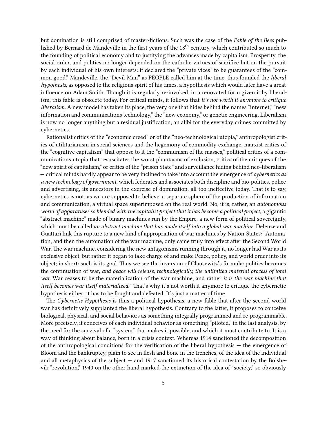but domination is still comprised of master-fictions. Such was the case of the Fable of the Bees published by Bernard de Mandeville in the first years of the 18<sup>th</sup> century, which contributed so much to the founding of political economy and to justifying the advances made by capitalism. Prosperity, the social order, and politics no longer depended on the catholic virtues of sacrifice but on the pursuit by each individual of his own interests: it declared the "private vices" to be guarantees of the "common good." Mandeville, the "Devil-Man" as PEOPLE called him at the time, thus founded the liberal  $h$ ypothesis, as opposed to the religious spirit of his times, a hypothesis which would later have a great influence on Adam Smith. Though it is regularly re-invoked, in a renovated form given it by liberalism, this fable is obsolete today. For critical minds, it follows that it's not worth it anymore to critique *liberalism.* A new model has taken its place, the very one that hides behind the names "internet," "new information and communications technology," the "new economy," or genetic engineering. Liberalism is now no longer anything but a residual justification, an alibi for the everyday crimes committed by cybernetics.

Rationalist critics of the "economic creed" or of the "neo-technological utopia," anthropologist critics of utilitarianism in social sciences and the hegemony of commodity exchange, marxist critics of the "cognitive capitalism" that oppose to it the "communism of the masses," political critics of a communications utopia that resuscitates the worst phantasms of exclusion, critics of the critiques of the "new spirit of capitalism," or critics of the "prison State" and surveillance hiding behind neo-liberalism - critical minds hardly appear to be very inclined to take into account the emergence of cybernetics as a new technology of government, which federates and associates both discipline and bio-politics, police and advertising, its ancestors in the exercise of domination, all too ineffective today. That is to say, cybernetics is not, as we are supposed to believe, a separate sphere of the production of information and communication, a virtual space superimposed on the real world. No, it is, rather, an *autonomous* world of apparatuses so blended with the capitalist project that it has become a political project, a gigantic "abstract machine" made of binary machines run by the Empire, a new form of political sovereignty, which must be called an abstract machine that has made itself into a global war machine. Deleuze and Guattari link this rupture to a new kind of appropriation of war machines by Nation-States: "Automation, and then the automation of the war machine, only came truly into effect after the Second World War. The war machine, considering the new antagonisms running through it, no longer had War as its exclusive object, but rather it began to take charge of and make Peace, policy, and world order into its object; in short: such is its goal. Thus we see the inversion of Clausewitz's formula: politics becomes the continuation of war, and peace will release, technologically, the unlimited material process of total war. War ceases to be the materialization of the war machine, and rather it is the war machine that itself becomes war itself materialized." That's why it's not worth it anymore to critique the cybernetic hypothesis either: it has to be fought and defeated. It's just a matter of time.

The Cybernetic Hypothesis is thus a political hypothesis, a new fable that after the second world war has definitively supplanted the liberal hypothesis. Contrary to the latter, it proposes to conceive biological, physical, and social behaviors as something integrally programmed and re-programmable. More precisely, it conceives of each individual behavior as something "piloted," in the last analysis, by the need for the survival of a "system" that makes it possible, and which it must contribute to. It is a way of thinking about balance, born in a crisis context. Whereas 1914 sanctioned the decomposition of the anthropological conditions for the verification of the liberal hypothesis  $-$  the emergence of Bloom and the bankruptcy, plain to see in flesh and bone in the trenches, of the idea of the individual and all metaphysics of the subject  $-$  and 1917 sanctioned its historical contestation by the Bolshevik "revolution," 1940 on the other hand marked the extinction of the idea of "society," so obviously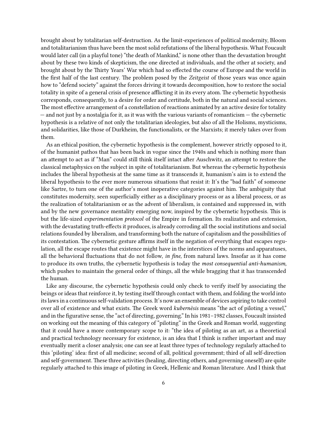brought about by totalitarian self-destruction. As the limit-experiences of political modernity, Bloom and totalitarianism thus have been the most solid refutations of the liberal hypothesis. What Foucault would later call (in a playful tone) "the death of Mankind," is none other than the devastation brought about by these two kinds of skepticism, the one directed at individuals, and the other at society, and brought about by the Thirty Years' War which had so effected the course of Europe and the world in the first half of the last century. The problem posed by the Zeitgeist of those years was once again how to "defend society" against the forces driving it towards decomposition, how to restore the social totality in spite of a general crisis of presence afflicting it in its every atom. The cybernetic hypothesis corresponds, consequently, to a desire for order and certitude, both in the natural and social sciences. The most effective arrangement of a constellation of reactions animated by an active desire for totality - and not just by a nostalgia for it, as it was with the various variants of romanticism - the cybernetic hypothesis is a relative of not only the totalitarian ideologies, but also of all the Holisms, mysticisms, and solidarities, like those of Durkheim, the functionalists, or the Marxists; it merely takes over from them.

As an ethical position, the cybernetic hypothesis is the complement, however strictly opposed to it, of the humanist pathos that has been back in vogue since the 1940s and which is nothing more than an attempt to act as if "Man" could still think itself intact after Auschwitz, an attempt to restore the classical metaphysics on the subject in spite of totalitarianism. But whereas the cybernetic hypothesis includes the liberal hypothesis at the same time as it transcends it, humanism's aim is to extend the liberal hypothesis to the ever more numerous situations that resist it: It's the "bad faith" of someone like Sartre, to turn one of the author's most inoperative categories against him. The ambiguity that constitutes modernity, seen superficially either as a disciplinary process or as a liberal process, or as the realization of totalitarianism or as the advent of liberalism, is contained and suppressed in, with and by the new governance mentality emerging now, inspired by the cybernetic hypothesis. This is but the life-sized experimentation protocol of the Empire in formation. Its realization and extension, with the devastating truth-effects it produces, is already corroding all the social institutions and social relations founded by liberalism, and transforming both the nature of capitalism and the possibilities of its contestation. The cybernetic gesture affirms itself in the negation of everything that escapes regulation, all the escape routes that existence might have in the interstices of the norms and apparatuses, all the behavioral fluctuations that do not follow, in fine, from natural laws. Insofar as it has come to produce its own truths, the cybernetic hypothesis is today the most consequential anti-humanism, which pushes to maintain the general order of things, all the while bragging that it has transcended the human.

Like any discourse, the cybernetic hypothesis could only check to verify itself by associating the beings or ideas that reinforce it, by testing itself through contact with them, and folding the world into its laws in a continuous self-validation process. It's now an ensemble of devices aspiring to take control over all of existence and what exists. The Greek word kubernèsis means "the act of piloting a vessel," and in the figurative sense, the "act of directing, governing." In his 1981-1982 classes, Foucault insisted on working out the meaning of this category of "piloting" in the Greek and Roman world, suggesting that it could have a more contemporary scope to it: "the idea of piloting as an art, as a theoretical and practical technology necessary for existence, is an idea that I think is rather important and may eventually merit a closer analysis; one can see at least three types of technology regularly attached to this 'piloting' idea: first of all medicine; second of all, political government; third of all self-direction and self-government. These three activities (healing, directing others, and governing oneself) are quite regularly attached to this image of piloting in Greek, Hellenic and Roman literature. And I think that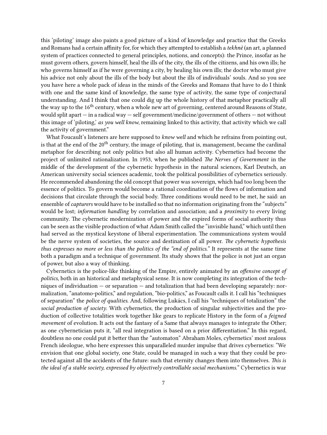this 'piloting' image also paints a good picture of a kind of knowledge and practice that the Greeks and Romans had a certain affinity for, for which they attempted to establish a tekhnè (an art, a planned system of practices connected to general principles, notions, and concepts): the Prince, insofar as he must govern others, govern himself, heal the ills of the city, the ills of the citizens, and his own ills; he who governs himself as if he were governing a city, by healing his own ills; the doctor who must give his advice not only about the ills of the body but about the ills of individuals' souls. And so you see you have here a whole pack of ideas in the minds of the Greeks and Romans that have to do I think with one and the same kind of knowledge, the same type of activity, the same type of conjectural understanding. And I think that one could dig up the whole history of that metaphor practically all the way up to the 16<sup>th</sup> century, when a whole new art of governing, centered around Reasons of State, would split apart  $-$  in a radical way  $-$  self government/medicine/government of others  $-$  not without this image of 'piloting,' as you well know, remaining linked to this activity, that activity which we call the activity of government."

What Foucault's listeners are here supposed to know well and which he refrains from pointing out, is that at the end of the 20<sup>th</sup> century, the image of piloting, that is, management, became the cardinal metaphor for describing not only politics but also all human activity. Cybernetics had become the project of unlimited rationalization. In 1953, when he published The Nerves of Government in the middle of the development of the cybernetic hypothesis in the natural sciences, Karl Deutsch, an American university social sciences academic, took the political possibilities of cybernetics seriously. He recommended abandoning the old concept that power was sovereign, which had too long been the essence of politics. To govern would become a rational coordination of the flows of information and decisions that circulate through the social body. Three conditions would need to be met, he said: an ensemble of *capturers* would have to be installed so that no information originating from the "subjects" would be lost; information handling by correlation and association; and a proximity to every living community. The cybernetic modernization of power and the expired forms of social authority thus can be seen as the visible production of what Adam Smith called the "invisible hand," which until then had served as the mystical keystone of liberal experimentation. The communications system would be the nerve system of societies, the source and destination of all power. The cybernetic hypothesis thus expresses no more or less than the politics of the "end of politics." It represents at the same time both a paradigm and a technique of government. Its study shows that the police is not just an organ of power, but also a way of thinking.

Cybernetics is the police-like thinking of the Empire, entirely animated by an offensive concept of politics, both in an historical and metaphysical sense. It is now completing its integration of the techniques of individuation  $-$  or separation  $-$  and totalization that had been developing separately: normalization, "anatomo-politics," and regulation, "bio-politics," as Foucault calls it. I call his "techniques" of separation" the *police of qualities*. And, following Lukács, I call his "techniques of totalization" the social production of society. With cybernetics, the production of singular subjectivities and the production of collective totalities work together like gears to replicate History in the form of a feigned movement of evolution. It acts out the fantasy of a Same that always manages to integrate the Other; as one cybernetician puts it, "all real integration is based on a prior differentiation." In this regard, doubtless no one could put it better than the "automaton" Abraham Moles, cybernetics' most zealous French ideologue, who here expresses this unparalleled murder impulse that drives cybernetics: "We envision that one global society, one State, could be managed in such a way that they could be protected against all the accidents of the future: such that eternity changes them into themselves. This is the ideal of a stable society, expressed by objectively controllable social mechanisms." Cybernetics is war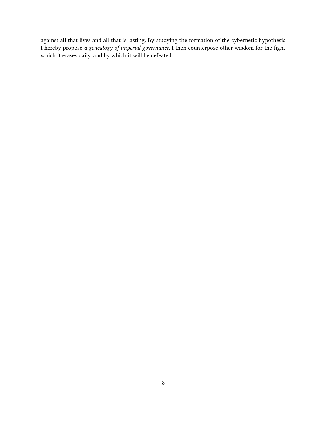against all that lives and all that is lasting. By studying the formation of the cybernetic hypothesis, I hereby propose a genealogy of imperial governance. I then counterpose other wisdom for the fight, which it erases daily, and by which it will be defeated.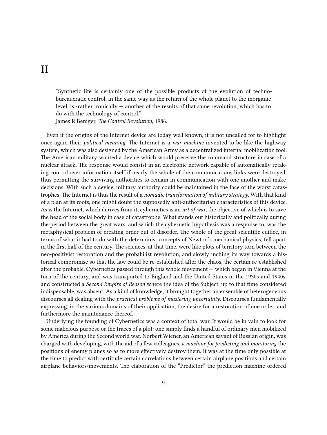<span id="page-8-0"></span> $\mathbf{H}$ 

"Synthetic life is certainly one of the possible products of the evolution of technobureaucratic control, in the same way as the return of the whole planet to the inorganic level, is -rather ironically  $-$  another of the results of that same revolution, which has to do with the technology of control."

James R Beniger, The Control Revolution, 1986.

Even if the origins of the Internet device are today well known, it is not uncalled for to highlight once again their *political meaning*. The Internet is a *war machine* invented to be like the highway system, which was also designed by the American Army as a decentralized internal mobilization tool. The American military wanted a device which would preserve the command structure in case of a nuclear attack. The response would consist in an electronic network capable of automatically retaking control over information itself if nearly the whole of the communications links were destroyed, thus permitting the surviving authorities to remain in communication with one another and make decisions. With such a device, military authority could be maintained in the face of the worst catastrophes. The Internet is thus the result of a nomadic transformation of military strategy. With that kind of a plan at its roots, one might doubt the supposedly anti-authoritarian characteristics of this device. As is the Internet, which derives from it, cybernetics is an *art of war*, the objective of which is to save the head of the social body in case of catastrophe. What stands out historically and politically during the period between the great wars, and which the cybernetic hypothesis was a response to, was the metaphysical problem of creating order out of disorder. The whole of the great scientific edifice, in terms of what it had to do with the determinist concepts of Newton's mechanical physics, fell apart in the first half of the century. The sciences, at that time, were like plots of territory torn between the neo-positivist restoration and the probabilist revolution, and slowly inching its way towards a historical compromise so that the law could be re-established after the chaos, the certain re-established after the probable. Cybernetics passed through this whole movement — which began in Vienna at the turn of the century, and was transported to England and the United States in the 1930s and 1940s, and constructed a Second Empire of Reason where the idea of the Subject, up to that time considered indispensable, was absent. As a kind of knowledge, it brought together an ensemble of heterogeneous discourses all dealing with the practical problems of mastering uncertainty. Discourses fundamentally expressing, in the various domains of their application, the desire for a restoration of one order, and furthermore the maintenance thereof.

Underlying the founding of Cybernetics was a context of total war. It would be in vain to look for some malicious purpose or the traces of a plot: one simply finds a handful of ordinary men mobilized by America during the Second world war. Norbert Wiener, an American savant of Russian origin, was charged with developing, with the aid of a few colleagues, a machine for predicting and monitoring the positions of enemy planes so as to more effectively destroy them. It was at the time only possible at the time to predict with certitude certain correlations between certain airplane positions and certain airplane behaviors/movements. The elaboration of the "Predictor," the prediction machine ordered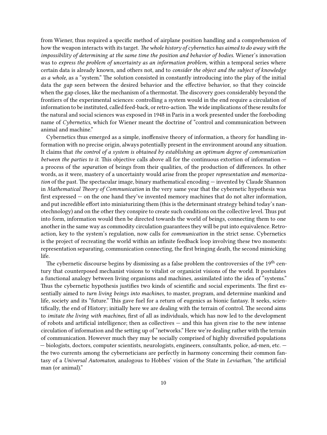from Wiener, thus required a specific method of airplane position handling and a comprehension of how the weapon interacts with its target. The whole history of cybernetics has aimed to do away with the impossibility of determining at the same time the position and behavior of bodies. Wiener's innovation was to express the problem of uncertainty as an information problem, within a temporal series where certain data is already known, and others not, and to consider the object and the subject of knowledge as a whole, as a "system." The solution consisted in constantly introducing into the play of the initial data the gap seen between the desired behavior and the effective behavior, so that they coincide when the gap closes, like the mechanism of a thermostat. The discovery goes considerably beyond the frontiers of the experimental sciences: controlling a system would in the end require a circulation of information to be instituted, called feed-back, or retro-action. The wide implications of these results for the natural and social sciences was exposed in 1948 in Paris in a work presented under the foreboding name of Cybernetics, which for Wiener meant the doctrine of "control and communication between animal and machine."

Cybernetics thus emerged as a simple, inoffensive theory of information, a theory for handling information with no precise origin, always potentially present in the environment around any situation. It claims that the control of a system is obtained by establishing an optimum degree of communication between the parties to it. This objective calls above all for the continuous extortion of information  $$ a process of the *separation* of beings from their qualities, of the production of differences. In other words, as it were, mastery of a uncertainty would arise from the proper representation and memorization of the past. The spectacular image, binary mathematical encoding — invented by Claude Shannon in Mathematical Theory of Communication in the very same year that the cybernetic hypothesis was first expressed  $-$  on the one hand they've invented memory machines that do not alter information, and put incredible effort into miniaturizing them (this is the determinant strategy behind today's nanotechnology) and on the other they conspire to create such conditions on the collective level. Thus put into form, information would then be directed towards the world of beings, connecting them to one another in the same way as commodity circulation guarantees they will be put into equivalence. Retroaction, key to the system's regulation, now calls for *communication* in the strict sense. Cybernetics is the project of recreating the world within an infinite feedback loop involving these two moments: representation separating, communication connecting, the first bringing death, the second mimicking life.

The cybernetic discourse begins by dismissing as a false problem the controversies of the 19<sup>th</sup> century that counterposed mechanist visions to vitalist or organicist visions of the world. It postulates a functional analogy between living organisms and machines, assimilated into the idea of "systems." Thus the cybernetic hypothesis justifies two kinds of scientific and social experiments. The first essentially aimed to turn living beings into machines, to master, program, and determine mankind and life, society and its "future." This gave fuel for a return of eugenics as bionic fantasy. It seeks, scientifically, the end of History; initially here we are dealing with the terrain of control. The second aims to *imitate the living with machines*, first of all as individuals, which has now led to the development of robots and artificial intelligence; then as collectives  $-$  and this has given rise to the new intense circulation of information and the setting up of "networks." Here we're dealing rather with the terrain of communication. However much they may be socially comprised of highly diversified populations - biologists, doctors, computer scientists, neurologists, engineers, consultants, police, ad-men, etc. the two currents among the cyberneticians are perfectly in harmony concerning their common fantasy of a Universal Automaton, analogous to Hobbes' vision of the State in Leviathan, "the artificial man (or animal)."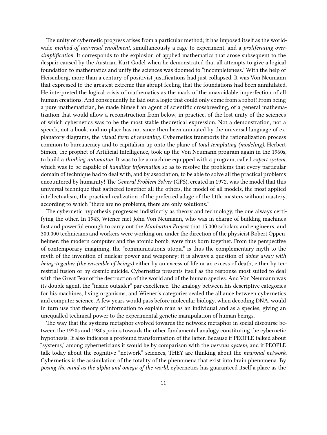The unity of cybernetic progress arises from a particular method; it has imposed itself as the worldwide method of universal enrollment, simultaneously a rage to experiment, and a proliferating oversimplification. It corresponds to the explosion of applied mathematics that arose subsequent to the despair caused by the Austrian Kurt Godel when he demonstrated that all attempts to give a logical foundation to mathematics and unify the sciences was doomed to "incompleteness." With the help of Heisenberg, more than a century of positivist justifications had just collapsed. It was Von Neumann that expressed to the greatest extreme this abrupt feeling that the foundations had been annihilated. He interpreted the logical crisis of mathematics as the mark of the unavoidable imperfection of all human creations. And consequently he laid out a logic that could only come from a robot! From being a pure mathematician, he made himself an agent of scientific crossbreeding, of a general mathematization that would allow a reconstruction from below, in practice, of the lost unity of the sciences of which cybernetics was to be the most stable theoretical expression. Not a demonstration, not a speech, not a book, and no place has not since then been animated by the universal language of explanatory diagrams, the visual form of reasoning. Cybernetics transports the rationalization process common to bureaucracy and to capitalism up onto the plane of total templating (modeling). Herbert Simon, the prophet of Artificial Intelligence, took up the Von Neumann program again in the 1960s, to build a thinking automaton. It was to be a machine equipped with a program, called expert system, which was to be capable of handling information so as to resolve the problems that every particular domain of technique had to deal with, and by association, to be able to solve all the practical problems encountered by humanity! The General Problem Solver (GPS), created in 1972, was the model that this universal technique that gathered together all the others, the model of all models, the most applied intellectualism, the practical realization of the preferred adage of the little masters without mastery, according to which "there are no problems, there are only solutions."

The cybernetic hypothesis progresses indistinctly as theory and technology, the one always certifying the other. In 1943, Wiener met John Von Neumann, who was in charge of building machines fast and powerful enough to carry out the Manhattan Project that 15,000 scholars and engineers, and 300,000 technicians and workers were working on, under the direction of the physicist Robert Oppenheimer: the modern computer and the atomic bomb, were thus born together. From the perspective of contemporary imagining, the "communications utopia" is thus the complementary myth to the myth of the invention of nuclear power and weaponry: it is always a question of doing away with being-together (the ensemble of beings) either by an excess of life or an excess of death, either by terrestrial fusion or by cosmic suicide. Cybernetics presents itself as the response most suited to deal with the Great Fear of the destruction of the world and of the human species. And Von Neumann was its double agent, the "inside outsider" par excellence. The analogy between his descriptive categories for his machines, living organisms, and Wiener's categories sealed the alliance between cybernetics and computer science. A few years would pass before molecular biology, when decoding DNA, would in turn use that theory of information to explain man as an individual and as a species, giving an unequalled technical power to the experimental genetic manipulation of human beings.

The way that the systems metaphor evolved towards the network metaphor in social discourse between the 1950s and 1980s points towards the other fundamental analogy constituting the cybernetic hypothesis. It also indicates a profound transformation of the latter. Because if PEOPLE talked about "systems," among cyberneticians it would be by comparison with the nervous system, and if PEOPLE talk today about the cognitive "network" sciences, THEY are thinking about the neuronal network. Cybernetics is the assimilation of the totality of the phenomena that exist into brain phenomena. By posing the mind as the alpha and omega of the world, cybernetics has guaranteed itself a place as the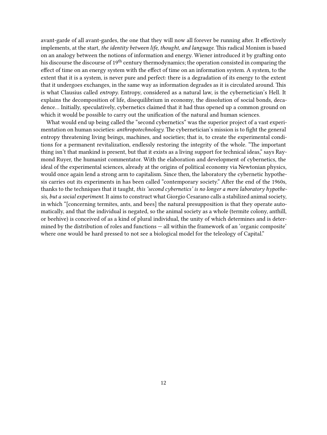avant-garde of all avant-gardes, the one that they will now all forever be running after. It effectively implements, at the start, the identity between life, thought, and language. This radical Monism is based on an analogy between the notions of information and energy. Wiener introduced it by grafting onto his discourse the discourse of 19<sup>th</sup> century thermodynamics; the operation consisted in comparing the effect of time on an energy system with the effect of time on an information system. A system, to the extent that it is a system, is never pure and perfect: there is a degradation of its energy to the extent that it undergoes exchanges, in the same way as information degrades as it is circulated around. This is what Clausius called entropy. Entropy, considered as a natural law, is the cybernetician's Hell. It explains the decomposition of life, disequilibrium in economy, the dissolution of social bonds, decadence... Initially, speculatively, cybernetics claimed that it had thus opened up a common ground on which it would be possible to carry out the unification of the natural and human sciences.

What would end up being called the "second cybernetics" was the superior project of a vast experimentation on human societies: anthropotechnology. The cybernetician's mission is to fight the general entropy threatening living beings, machines, and societies; that is, to create the experimental conditions for a permanent revitalization, endlessly restoring the integrity of the whole. "The important thing isn't that mankind is present, but that it exists as a living support for technical ideas," says Raymond Ruyer, the humanist commentator. With the elaboration and development of cybernetics, the ideal of the experimental sciences, already at the origins of political economy via Newtonian physics, would once again lend a strong arm to capitalism. Since then, the laboratory the cybernetic hypothesis carries out its experiments in has been called "contemporary society." After the end of the 1960s, thanks to the techniques that it taught, this 'second cybernetics' is no longer a mere laboratory hypothesis, but a social experiment. It aims to construct what Giorgio Cesarano calls a stabilized animal society, in which "[concerning termites, ants, and bees] the natural presupposition is that they operate automatically, and that the individual is negated, so the animal society as a whole (termite colony, anthill, or beehive) is conceived of as a kind of plural individual, the unity of which determines and is determined by the distribution of roles and functions – all within the framework of an 'organic composite' where one would be hard pressed to not see a biological model for the teleology of Capital."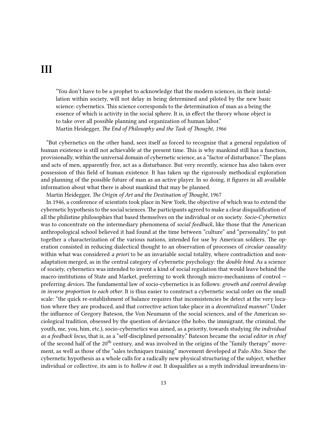### <span id="page-12-0"></span> $III$

"You don't have to be a prophet to acknowledge that the modern sciences, in their installation within society, will not delay in being determined and piloted by the new basic science: cybernetics. This science corresponds to the determination of man as a being the essence of which is activity in the social sphere. It is, in effect the theory whose object is to take over all possible planning and organization of human labor." Martin Heidegger, The End of Philosophy and the Task of Thought, 1966

"But cybernetics on the other hand, sees itself as forced to recognize that a general regulation of human existence is still not achievable at the present time. This is why mankind still has a function, provisionally, within the universal domain of cybernetic science, as a "factor of disturbance." The plans and acts of men, apparently free, act as a disturbance. But very recently, science has also taken over possession of this field of human existence. It has taken up the rigorously methodical exploration and planning of the possible future of man as an active player. In so doing, it figures in all available information about what there is about mankind that may be planned.

Martin Heidegger, The Origin of Art and the Destination of Thought, 1967

In 1946, a conference of scientists took place in New York, the objective of which was to extend the cybernetic hypothesis to the social sciences. The participants agreed to make a clear disqualification of all the philistine philosophies that based themselves on the individual or on society. Socio-Cybernetics was to concentrate on the intermediary phenomena of social feedback, like those that the American anthropological school believed it had found at the time between "culture" and "personality," to put together a characterization of the various nations, intended for use by American soldiers. The operation consisted in reducing dialectical thought to an observation of processes of *circular causality* within what was considered a priori to be an invariable social totality, where contradiction and nonadaptation merged, as in the central category of cybernetic psychology: the *double bind*. As a science of society, cybernetics was intended to invent a kind of social regulation that would leave behind the macro-institutions of State and Market, preferring to work through micro-mechanisms of control preferring devices. The fundamental law of socio-cybernetics is as follows: growth and control develop in inverse proportion to each other. It is thus easier to construct a cybernetic social order on the small scale: "the quick re-establishment of balance requires that inconsistencies be detect at the very location where they are produced, and that corrective action take place in a *decentralized manner*." Under the influence of Gregory Bateson, the Von Neumann of the social sciences, and of the American sociological tradition, obsessed by the question of deviance (the hobo, the immigrant, the criminal, the youth, me, you, him, etc.), socio-cybernetics was aimed, as a priority, towards studying the individual as a feedback locus, that is, as a "self-disciplined personality." Bateson became the social editor in chief of the second half of the 20<sup>th</sup> century, and was involved in the origins of the "family therapy" movement, as well as those of the "sales techniques training" movement developed at Palo Alto. Since the cybernetic hypothesis as a whole calls for a radically new physical structuring of the subject, whether individual or collective, its aim is to *hollow it out*. It disqualifies as a myth individual inwardness/in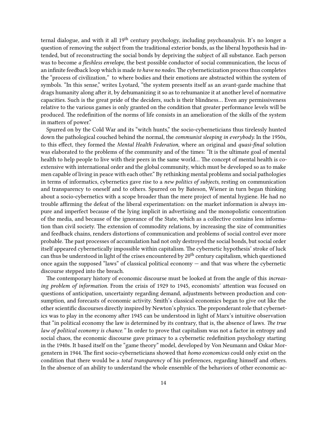ternal dialogue, and with it all 19<sup>th</sup> century psychology, including psychoanalysis. It's no longer a question of removing the subject from the traditional exterior bonds, as the liberal hypothesis had intended, but of reconstructing the social bonds by depriving the subject of all substance. Each person was to become a fleshless envelope, the best possible conductor of social communication, the locus of an infinite feedback loop which is made to have no nodes. The cyberneticization process thus completes the "process of civilization," to where bodies and their emotions are abstracted within the system of symbols. "In this sense," writes Lyotard, "the system presents itself as an avant-garde machine that drags humanity along after it, by dehumanizing it so as to rehumanize it at another level of normative capacities. Such is the great pride of the deciders, such is their blindness... Even any permissiveness relative to the various games is only granted on the condition that greater performance levels will be produced. The redefinition of the norms of life consists in an amelioration of the skills of the system in matters of power."

Spurred on by the Cold War and its "witch hunts," the socio-cyberneticians thus tirelessly hunted down the pathological couched behind the normal, the *communist sleeping in everybody*. In the 1950s, to this effect, they formed the Mental Health Federation, where an original and quasi-final solution was elaborated to the problems of the community and of the times: "It is the ultimate goal of mental health to help people to live with their peers in the same world... The concept of mental health is coextensive with international order and the global community, which must be developed so as to make men capable of living in peace with each other." By rethinking mental problems and social pathologies in terms of informatics, cybernetics gave rise to a *new politics of subjects*, resting on communication and transparency to oneself and to others. Spurred on by Bateson, Wiener in turn began thinking about a socio-cybernetics with a scope broader than the mere project of mental hygiene. He had no trouble affirming the defeat of the liberal experimentation: on the market information is always impure and imperfect because of the lying implicit in advertising and the monopolistic concentration of the media, and because of the ignorance of the State, which as a collective contains less information than civil society. The extension of commodity relations, by increasing the size of communities and feedback chains, renders distortions of communication and problems of social control ever more probable. The past processes of accumulation had not only destroyed the social bonds, but social order itself appeared cybernetically impossible within capitalism. The cybernetic hypothesis' stroke of luck can thus be understood in light of the crises encountered by 20<sup>th</sup> century capitalism, which questioned once again the supposed "laws" of classical political economy  $-$  and that was where the cybernetic discourse stepped into the breach.

The contemporary history of economic discourse must be looked at from the angle of this increasing problem of information. From the crisis of 1929 to 1945, economists' attention was focused on questions of anticipation, uncertainty regarding demand, adjustments between production and consumption, and forecasts of economic activity. Smith's classical economics began to give out like the other scientific discourses directly inspired by Newton's physics. The preponderant role that cybernetics was to play in the economy after 1945 can be understood in light of Marx's intuitive observation that "in political economy the law is determined by its contrary, that is, the absence of laws. The true law of political economy is chance." In order to prove that capitalism was not a factor in entropy and social chaos, the economic discourse gave primacy to a cybernetic redefinition psychology starting in the 1940s. It based itself on the "game theory" model, developed by Von Neumann and Oskar Morgenstern in 1944. The first socio-cyberneticians showed that *homo economicus* could only exist on the condition that there would be a *total transparency* of his preferences, regarding himself and others. In the absence of an ability to understand the whole ensemble of the behaviors of other economic ac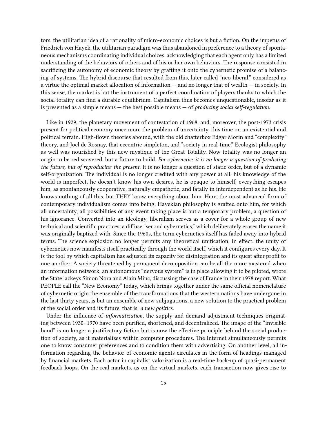tors, the utilitarian idea of a rationality of micro-economic choices is but a fiction. On the impetus of Friedrich von Hayek, the utilitarian paradigm was thus abandoned in preference to a theory of spontaneous mechanisms coordinating individual choices, acknowledging that each agent only has a limited understanding of the behaviors of others and of his or her own behaviors. The response consisted in sacrificing the autonomy of economic theory by grafting it onto the cybernetic promise of a balancing of systems. The hybrid discourse that resulted from this, later called "neo-liberal," considered as a virtue the optimal market allocation of information  $-$  and no longer that of wealth  $-$  in society. In this sense, the market is but the instrument of a perfect coordination of players thanks to which the social totality can find a durable equilibrium. Capitalism thus becomes unquestionable, insofar as it is presented as a simple means  $-$  the best possible means  $-$  of *producing social self-regulation*.

Like in 1929, the planetary movement of contestation of 1968, and, moreover, the post-1973 crisis present for political economy once more the problem of uncertainty, this time on an existential and political terrain. High-flown theories abound, with the old chatterbox Edgar Morin and "complexity" theory, and Joel de Rosnay, that eccentric simpleton, and "society in real-time." Ecologist philosophy as well was nourished by this new mystique of the Great Totality. Now totality was no longer an origin to be rediscovered, but a future to build. For cybernetics it is no longer a question of predicting the future, but of reproducing the present. It is no longer a question of static order, but of a dynamic self-organization. The individual is no longer credited with any power at all: his knowledge of the world is imperfect, he doesn't know his own desires, he is opaque to himself, everything escapes him, as spontaneously cooperative, naturally empathetic, and fatally in interdependent as he his. He knows nothing of all this, but THEY know everything about him. Here, the most advanced form of contemporary individualism comes into being; Hayekian philosophy is grafted onto him, for which all uncertainty, all possibilities of any event taking place is but a temporary problem, a question of his ignorance. Converted into an ideology, liberalism serves as a cover for a whole group of new technical and scientific practices, a diffuse "second cybernetics," which deliberately erases the name it was originally baptized with. Since the 1960s, the term cybernetics itself has faded away into hybrid terms. The science explosion no longer permits any theoretical unification, in effect: the unity of cybernetics now manifests itself practically through the world itself, which it configures every day. It is the tool by which capitalism has adjusted its capacity for disintegration and its quest after profit to one another. A society threatened by permanent decomposition can be all the more mastered when an information network, an autonomous "nervous system" is in place allowing it to be piloted, wrote the State lackeys Simon Nora and Alain Minc, discussing the case of France in their 1978 report. What PEOPLE call the "New Economy" today, which brings together under the same official nomenclature of cybernetic origin the ensemble of the transformations that the western nations have undergone in the last thirty years, is but an ensemble of new subjugations, a new solution to the practical problem of the social order and its future, that is: a new politics.

Under the influence of *informatization*, the supply and demand adjustment techniques originating between 1930-1970 have been purified, shortened, and decentralized. The image of the "invisible hand" is no longer a justificatory fiction but is now the effective principle behind the social production of society, as it materializes within computer procedures. The Internet simultaneously permits one to know consumer preferences and to condition them with advertising. On another level, all information regarding the behavior of economic agents circulates in the form of headings managed by financial markets. Each actor in capitalist valorization is a real-time back-up of quasi-permanent feedback loops. On the real markets, as on the virtual markets, each transaction now gives rise to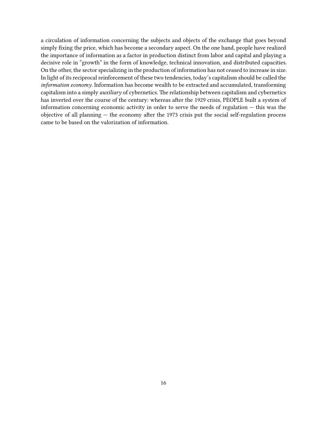a circulation of information concerning the subjects and objects of the exchange that goes beyond simply fixing the price, which has become a secondary aspect. On the one hand, people have realized the importance of information as a factor in production distinct from labor and capital and playing a decisive role in "growth" in the form of knowledge, technical innovation, and distributed capacities. On the other, the sector specializing in the production of information has not ceased to increase in size. In light of its reciprocal reinforcement of these two tendencies, today's capitalism should be called the information economy. Information has become wealth to be extracted and accumulated, transforming capitalism into a simply *auxiliary* of cybernetics. The relationship between capitalism and cybernetics has inverted over the course of the century: whereas after the 1929 crisis, PEOPLE built a system of information concerning economic activity in order to serve the needs of regulation  $-$  this was the objective of all planning  $-$  the economy after the 1973 crisis put the social self-regulation process came to be based on the valorization of information.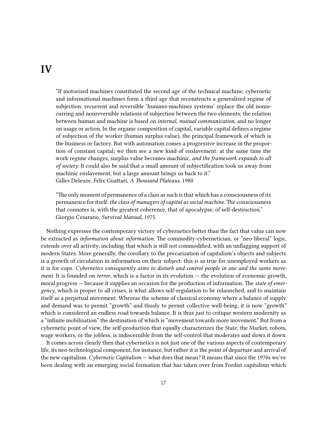#### <span id="page-16-0"></span>IV

"If motorized machines constituted the second age of the technical machine, cybernetic and informational machines form a third age that reconstructs a generalized regime of subjection: recurrent and reversible 'humans-machines systems' replace the old nonrecurring and nonreversible relations of subjection between the two elements; the relation between human and machine is based on *internal*, *mutual communication*, and no longer on usage or action. In the organic composition of capital, variable capital defines a regime of subjection of the worker (human surplus value), the principal framework of which is the business or factory. But with automation comes a progressive increase in the proportion of constant capital; we then see a new kind of enslavement: at the same time the work regime changes, surplus value becomes machinic, and the framework expands to all of society. It could also be said that a small amount of subjectification took us away from machinic enslavement, but a large amount brings us back to it." Gilles Deleuze, Felix Guattari, A Thousand Plateaus, 1980

"The only moment of permanence of a class as such is that which has a consciousness of its permanence for itself: the class of managers of capital as social machine. The consciousness that connotes is, with the greatest coherence, that of apocalypse, of self-destruction." Giorgio Cesarano, Survival Manual, 1975

Nothing expresses the contemporary victory of cybernetics better than the fact that value can now be extracted as information about information. The commodity-cybernetician, or "neo-liberal" logic, extends over all activity, including that which is still not commodified, with an unflagging support of modern States. More generally, the corollary to the precarization of capitalism's objects and subjects is a growth of circulation in information on their subject: this is as true for unemployed workers as it is for cops. Cybernetics consequently aims to disturb and control people in one and the same movement. It is founded on terror, which is a factor in its evolution – the evolution of economic growth, moral progress — because it supplies an occasion for the production of information. The *state of emer*gency, which is proper to all crises, is what allows self-regulation to be relaunched, and to maintain itself as a perpetual movement. Whereas the scheme of classical economy where a balance of supply and demand was to permit "growth" and thusly to permit collective well-being, it is now "growth" which is considered an endless road towards balance. It is thus just to critique western modernity as a "infinite mobilization" the destination of which is "movement towards more movement." But from a cybernetic point of view, the self-production that equally characterizes the State, the Market, robots, wage workers, or the jobless, is indiscernible from the self-control that moderates and slows it down.

It comes across clearly then that cybernetics is not just one of the various aspects of contemporary life, its neo-technological component, for instance, but rather it is the point of departure and arrival of the new capitalism. Cybernetic Capitalism — what does that mean? It means that since the 1970s we've been dealing with an emerging social formation that has taken over from Fordist capitalism which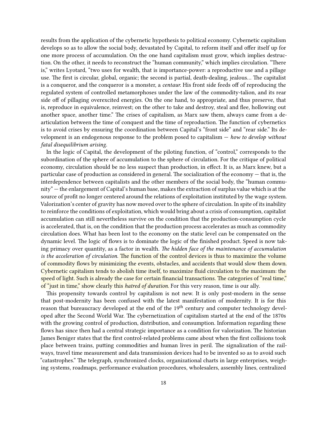results from the application of the cybernetic hypothesis to political economy. Cybernetic capitalism develops so as to allow the social body, devastated by Capital, to reform itself and offer itself up for one more process of accumulation. On the one hand capitalism must grow, which implies destruction. On the other, it needs to reconstruct the "human community," which implies circulation. "There is," writes Lyotard, "two uses for wealth, that is importance-power: a reproductive use and a pillage use. The first is circular, global, organic; the second is partial, death-dealing, jealous... The capitalist is a conqueror, and the conqueror is a monster, a *centaur*. His front side feeds off of reproducing the regulated system of controlled metamorphoses under the law of the commodity-talion, and its rear side off of pillaging overexcited energies. On the one hand, to appropriate, and thus preserve, that is, reproduce in equivalence, reinvest; on the other to take and destroy, steal and flee, hollowing out another space, another time." The crises of capitalism, as Marx saw them, always came from a dearticulation between the time of conquest and the time of reproduction. The function of cybernetics is to avoid crises by ensuring the coordination between Capital's "front side" and "rear side." Its development is an endogenous response to the problem posed to capitalism  $-$  how to develop without fatal disequilibrium arising.

In the logic of Capital, the development of the piloting function, of "control," corresponds to the subordination of the sphere of accumulation to the sphere of circulation. For the critique of political economy, circulation should be no less suspect than production, in effect. It is, as Marx knew, but a particular case of production as considered in general. The socialization of the economy  $-$  that is, the interdependence between capitalists and the other members of the social body, the "human community" — the enlargement of Capital's human base, makes the extraction of surplus value which is at the source of profit no longer centered around the relations of exploitation instituted by the wage system. Valorization's center of gravity has now moved over to the sphere of circulation. In spite of its inability to reinforce the conditions of exploitation, which would bring about a crisis of consumption, capitalist accumulation can still nevertheless survive on the condition that the production-consumption cycle is accelerated, that is, on the condition that the production process accelerates as much as commodity circulation does. What has been lost to the economy on the static level can be compensated on the dynamic level. The logic of flows is to dominate the logic of the finished product. Speed is now taking primacy over quantity, as a factor in wealth. The hidden face of the maintenance of accumulation is the acceleration of circulation. The function of the control devices is thus to maximize the volume of commodity flows by minimizing the events, obstacles, and accidents that would slow them down. Cybernetic capitalism tends to abolish time itself, to maximize fluid circulation to the maximum: the speed of light. Such is already the case for certain financial transactions. The categories of "real time," of "just in time," show clearly this *hatred of duration*. For this very reason, time is our ally.

This propensity towards control by capitalism is not new. It is only post-modern in the sense that post-modernity has been confused with the latest manifestation of modernity. It is for this reason that bureaucracy developed at the end of the 19<sup>th</sup> century and computer technology developed after the Second World War. The cybernetization of capitalism started at the end of the 1870s with the growing control of production, distribution, and consumption. Information regarding these flows has since then had a central strategic importance as a condition for valorization. The historian James Beniger states that the first control-related problems came about when the first collisions took place between trains, putting commodities and human lives in peril. The signalization of the railways, travel time measurement and data transmission devices had to be invented so as to avoid such "catastrophes." The telegraph, synchronized clocks, organizational charts in large enterprises, weighing systems, roadmaps, performance evaluation procedures, wholesalers, assembly lines, centralized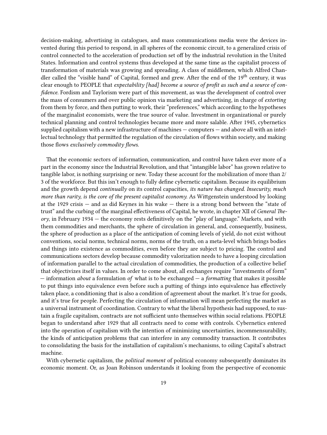decision-making, advertising in catalogues, and mass communications media were the devices invented during this period to respond, in all spheres of the economic circuit, to a generalized crisis of control connected to the acceleration of production set off by the industrial revolution in the United States. Information and control systems thus developed at the same time as the capitalist process of transformation of materials was growing and spreading. A class of middlemen, which Alfred Chandler called the "visible hand" of Capital, formed and grew. After the end of the 19<sup>th</sup> century, it was clear enough to PEOPLE that expectability [had] become a source of profit as such and a source of confidence. Fordism and Taylorism were part of this movement, as was the development of control over the mass of consumers and over public opinion via marketing and advertising, in charge of extorting from them by force, and then putting to work, their "preferences," which according to the hypotheses of the marginalist economists, were the true source of value. Investment in organizational or purely technical planning and control technologies became more and more salable. After 1945, cybernetics supplied capitalism with a new infrastructure of machines - computers - and above all with an intellectual technology that permitted the regulation of the circulation of flows within society, and making those flows exclusively commodity flows.

That the economic sectors of information, communication, and control have taken ever more of a part in the economy since the Industrial Revolution, and that "intangible labor" has grown relative to tangible labor, is nothing surprising or new. Today these account for the mobilization of more than 2/ 3 of the workforce. But this isn't enough to fully define cybernetic capitalism. Because its equilibrium and the growth depend continually on its control capacities, its nature has changed. Insecurity, much more than rarity, is the core of the present capitalist economy. As Wittgenstein understood by looking at the 1929 crisis  $-$  and as did Keynes in his wake  $-$  there is a strong bond between the "state of trust" and the curbing of the marginal effectiveness of Capital, he wrote, in chapter XII of General Theory, in February 1934 – the economy rests definitively on the "play of language." Markets, and with them commodities and merchants, the sphere of circulation in general, and, consequently, business, the sphere of production as a place of the anticipation of coming levels of yield, do not exist without conventions, social norms, technical norms, norms of the truth, on a meta-level which brings bodies and things into existence as commodities, even before they are subject to pricing. The control and communications sectors develop because commodity valorization needs to have a looping circulation of information parallel to the actual circulation of commodities, the production of a collective belief that objectivizes itself in values. In order to come about, all exchanges require "investments of form"  $-$  information *about* a formulation of what is to be exchanged  $-$  a formatting that makes it possible to put things into equivalence even before such a putting of things into equivalence has effectively taken place, a conditioning that is also a condition of agreement about the market. It's true for goods, and it's true for people. Perfecting the circulation of information will mean perfecting the market as a universal instrument of coordination. Contrary to what the liberal hypothesis had supposed, to sustain a fragile capitalism, contracts are not sufficient unto themselves within social relations. PEOPLE began to understand after 1929 that all contracts need to come with controls. Cybernetics entered into the operation of capitalism with the intention of minimizing uncertainties, incommensurability, the kinds of anticipation problems that can interfere in any commodity transaction. It contributes to consolidating the basis for the installation of capitalism's mechanisms, to oiling Capital's abstract machine.

With cybernetic capitalism, the *political moment* of political economy subsequently dominates its economic moment. Or, as Joan Robinson understands it looking from the perspective of economic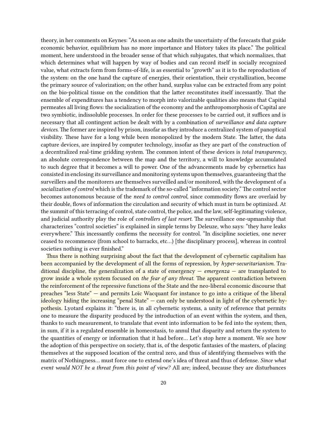theory, in her comments on Keynes: "As soon as one admits the uncertainty of the forecasts that guide economic behavior, equilibrium has no more importance and History takes its place." The political moment, here understood in the broader sense of that which subjugates, that which normalizes, that which determines what will happen by way of bodies and can record itself in socially recognized value, what extracts form from forms-of-life, is as essential to "growth" as it is to the reproduction of the system: on the one hand the capture of energies, their orientation, their crystallization, become the primary source of valorization; on the other hand, surplus value can be extracted from any point on the bio-political tissue on the condition that the latter reconstitutes itself incessantly. That the ensemble of expenditures has a tendency to morph into valorizable qualities also means that Capital permeates all living flows: the socialization of the economy and the anthropomorphosis of Capital are two symbiotic, indissoluble processes. In order for these processes to be carried out, it suffices and is necessary that all contingent action be dealt with by a combination of *surveillance and data capture* devices. The former are inspired by prison, insofar as they introduce a centralized system of panoptical visibility. These have for a long while been monopolized by the modern State. The latter, the data capture devices, are inspired by computer technology, insofar as they are part of the construction of a decentralized real-time gridding system. The common intent of these devices is total transparency, an absolute correspondence between the map and the territory, a will to knowledge accumulated to such degree that it becomes a will to power. One of the advancements made by cybernetics has consisted in enclosing its surveillance and monitoring systems upon themselves, guaranteeing that the surveillers and the monitorers are themselves surveilled and/or monitored, with the development of a socialization of control which is the trademark of the so-called "information society." The control sector becomes autonomous because of the need to control control, since commodity flows are overlaid by their double, flows of information the circulation and security of which must in turn be optimized. At the summit of this terracing of control, state control, the police, and the law, self-legitimating violence, and judicial authority play the role of *controllers of last resort*. The surveillance one-upmanship that characterizes "control societies" is explained in simple terms by Deleuze, who says: "they have leaks everywhere." This incessantly confirms the necessity for control. "In discipline societies, one never ceased to recommence (from school to barracks, etc...) [the disciplinary process], whereas in control societies nothing is ever finished."

Thus there is nothing surprising about the fact that the development of cybernetic capitalism has been accompanied by the development of all the forms of repression, by hyper-securitarianism. Traditional discipline, the generalization of a state of emergency  $-$  emergenza  $-$  are transplanted to grow inside a whole system focused on the fear of any threat. The apparent contradiction between the reinforcement of the repressive functions of the State and the neo-liberal economic discourse that preaches "less State" – and permits Loïc Wacquant for instance to go into a critique of the liberal ideology hiding the increasing "penal State" - can only be understood in light of the cybernetic hypothesis. Lyotard explains it: "there is, in all cybernetic systems, a unity of reference that permits one to measure the disparity produced by the introduction of an event within the system, and then, thanks to such measurement, to translate that event into information to be fed into the system; then, in sum, if it is a regulated ensemble in homeostasis, to annul that disparity and return the system to the quantities of energy or information that it had before... Let's stop here a moment. We see how the adoption of this perspective on society, that is, of the despotic fantasies of the masters, of placing themselves at the supposed location of the central zero, and thus of identifying themselves with the matrix of Nothingness... must force one to extend one's idea of threat and thus of defense. Since what event would NOT be a threat from this point of view? All are; indeed, because they are disturbances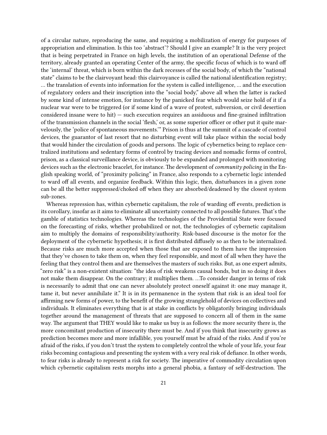of a circular nature, reproducing the same, and requiring a mobilization of energy for purposes of appropriation and elimination. Is this too 'abstract'? Should I give an example? It is the very project that is being perpetrated in France on high levels, the institution of an operational Defense of the territory, already granted an operating Center of the army, the specific focus of which is to ward off the 'internal' threat, which is born within the dark recesses of the social body, of which the "national" state" claims to be the clairvoyant head: this clairvoyance is called the national identification registry; ... the translation of events into information for the system is called intelligence, ... and the execution of regulatory orders and their inscription into the "social body," above all when the latter is racked by some kind of intense emotion, for instance by the panicked fear which would seize hold of it if a nuclear war were to be triggered (or if some kind of a wave of protest, subversion, or civil desertion considered insane were to hit)  $-$  such execution requires an assiduous and fine-grained infiltration of the transmission channels in the social 'flesh,' or, as some superior officer or other put it quite marvelously, the 'police of spontaneous movements." Prison is thus at the summit of a cascade of control devices, the guarantor of last resort that no disturbing event will take place within the social body that would hinder the circulation of goods and persons. The logic of cybernetics being to replace centralized institutions and sedentary forms of control by tracing devices and nomadic forms of control, prison, as a classical surveillance device, is obviously to be expanded and prolonged with monitoring devices such as the electronic bracelet, for instance. The development of *community policing* in the English speaking world, of "proximity policing" in France, also responds to a cybernetic logic intended to ward off all events, and organize feedback. Within this logic, then, disturbances in a given zone can be all the better suppressed/choked off when they are absorbed/deadened by the closest system sub-zones.

Whereas repression has, within cybernetic capitalism, the role of warding off events, prediction is its corollary, insofar as it aims to eliminate all uncertainty connected to all possible futures. That's the gamble of statistics technologies. Whereas the technologies of the Providential State were focused on the forecasting of risks, whether probabilized or not, the technologies of cybernetic capitalism aim to multiply the domains of responsibility/authority. Risk-based discourse is the motor for the deployment of the cybernetic hypothesis; it is first distributed diffusely so as then to be internalized. Because risks are much more accepted when those that are exposed to them have the impression that they've chosen to take them on, when they feel responsible, and most of all when they have the feeling that they control them and are themselves the masters of such risks. But, as one expert admits, "zero risk" is a non-existent situation: "the idea of risk weakens causal bonds, but in so doing it does not make them disappear. On the contrary; it multiplies them. ...To consider danger in terms of risk is necessarily to admit that one can never absolutely protect oneself against it: one may manage it, tame it, but never annihilate it." It is in its permanence in the system that risk is an ideal tool for affirming new forms of power, to the benefit of the growing stranglehold of devices on collectives and individuals. It eliminates everything that is at stake in conflicts by obligatorily bringing individuals together around the management of threats that are supposed to concern all of them in the same way. The argument that THEY would like to make us buy is as follows: the more security there is, the more concomitant production of insecurity there must be. And if you think that insecurity grows as prediction becomes more and more infallible, you yourself must be afraid of the risks. And if you're afraid of the risks, if you don't trust the system to completely control the whole of your life, your fear risks becoming contagious and presenting the system with a very real risk of defiance. In other words, to fear risks is already to represent a risk for society. The imperative of commodity circulation upon which cybernetic capitalism rests morphs into a general phobia, a fantasy of self-destruction. The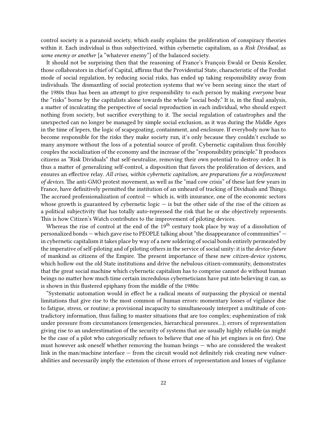control society is a paranoid society, which easily explains the proliferation of conspiracy theories within it. Each individual is thus subjectivized, within cybernetic capitalism, as a Risk Dividual, as some enemy or another [a "whatever enemy"] of the balanced society.

It should not be surprising then that the reasoning of France's François Ewald or Denis Kessler, those collaborators in chief of Capital, affirms that the Providential State, characteristic of the Fordist mode of social regulation, by reducing social risks, has ended up taking responsibility away from individuals. The dismantling of social protection systems that we've been seeing since the start of the 1980s thus has been an attempt to give responsibility to each person by making *everyone* bear the "risks" borne by the capitalists alone towards the whole "social body." It is, in the final analysis, a matter of inculcating the perspective of social reproduction in each individual, who should expect nothing from society, but sacrifice everything to it. The social regulation of catastrophes and the unexpected can no longer be managed by simple social exclusion, as it was during the Middle Ages in the time of lepers, the logic of scapegoating, containment, and enclosure. If everybody now has to become responsible for the risks they make society run, it's only because they couldn't exclude so many anymore without the loss of a potential source of profit. Cybernetic capitalism thus forcibly couples the socialization of the economy and the increase of the "responsibility principle." It produces citizens as "Risk Dividuals" that self-neutralize, removing their own potential to destroy order. It is thus a matter of generalizing self-control, a disposition that favors the proliferation of devices, and ensures an effective relay. All crises, within cybernetic capitalism, are preparations for a reinforcement of devices. The anti-GMO protest movement, as well as the "mad cow crisis" of these last few years in France, have definitively permitted the institution of an unheard of tracking of Dividuals and Things. The accrued professionalization of control  $-$  which is, with insurance, one of the economic sectors whose growth is guaranteed by cybernetic logic  $-$  is but the other side of the rise of the citizen as a political subjectivity that has totally auto-repressed the risk that he or she objectively represents. This is how Citizen's Watch contributes to the improvement of piloting devices.

Whereas the rise of control at the end of the 19<sup>th</sup> century took place by way of a dissolution of personalized bonds — which gave rise to PEOPLE talking about "the disappearance of communities" in cybernetic capitalism it takes place by way of a new soldering of social bonds entirely permeated by the imperative of self-piloting and of piloting others in the service of social unity: it is the *device-future* of mankind as citizens of the Empire. The present importance of these new citizen-device systems, which hollow out the old State institutions and drive the nebulous citizen-community, demonstrates that the great social machine which cybernetic capitalism has to comprise cannot do without human beings no matter how much time certain incredulous cyberneticians have put into believing it can, as is shown in this flustered epiphany from the middle of the 1980s:

"Systematic automation would in effect be a radical means of surpassing the physical or mental limitations that give rise to the most common of human errors: momentary losses of vigilance due to fatigue, stress, or routine; a provisional incapacity to simultaneously interpret a multitude of contradictory information, thus failing to master situations that are too complex; euphemization of risk under pressure from circumstances (emergencies, hierarchical pressures...); errors of representation giving rise to an underestimation of the security of systems that are usually highly reliable (as might be the case of a pilot who categorically refuses to believe that one of his jet engines is on fire). One must however ask oneself whether removing the human beings – who are considered the weakest link in the man/machine interface  $-$  from the circuit would not definitely risk creating new vulnerabilities and necessarily imply the extension of those errors of representation and losses of vigilance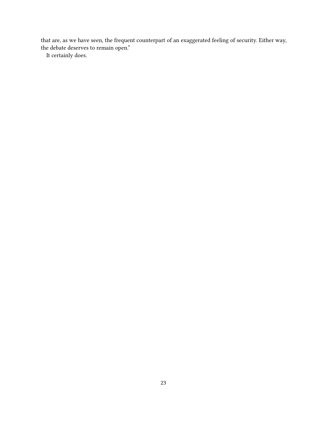that are, as we have seen, the frequent counterpart of an exaggerated feeling of security. Either way, the debate deserves to remain open."

It certainly does.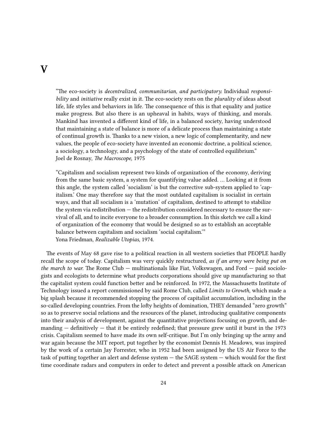<span id="page-23-0"></span> $\overline{\mathbf{V}}$ 

"The eco-society is *decentralized, communitarian, and participatory*. Individual *responsi*bility and initiative really exist in it. The eco-society rests on the plurality of ideas about life, life styles and behaviors in life. The consequence of this is that equality and justice make progress. But also there is an upheaval in habits, ways of thinking, and morals. Mankind has invented a different kind of life, in a balanced society, having understood that maintaining a state of balance is more of a delicate process than maintaining a state of continual growth is. Thanks to a new vision, a new logic of complementarity, and new values, the people of eco-society have invented an economic doctrine, a political science, a sociology, a technology, and a psychology of the state of controlled equilibrium." Joel de Rosnay, The Macroscope, 1975

"Capitalism and socialism represent two kinds of organization of the economy, deriving from the same basic system, a system for quantifying value added. ... Looking at it from this angle, the system called 'socialism' is but the corrective sub-system applied to 'capitalism.' One may therefore say that the most outdated capitalism is socialist in certain ways, and that all socialism is a 'mutation' of capitalism, destined to attempt to stabilize the system via redistribution — the redistribution considered necessary to ensure the survival of all, and to incite everyone to a broader consumption. In this sketch we call a kind of organization of the economy that would be designed so as to establish an acceptable balance between capitalism and socialism 'social capitalism." Yona Friedman, Realizable Utopias, 1974.

The events of May 68 gave rise to a political reaction in all western societies that PEOPLE hardly recall the scope of today. Capitalism was very quickly restructured, as if an army were being put on *the march to war.* The Rome Club  $-$  multinationals like Fiat, Volkswagen, and Ford  $-$  paid sociologists and ecologists to determine what products corporations should give up manufacturing so that the capitalist system could function better and be reinforced. In 1972, the Massachusetts Institute of Technology issued a report commissioned by said Rome Club, called Limits to Growth, which made a big splash because it recommended stopping the process of capitalist accumulation, including in the so-called developing countries. From the lofty heights of domination, THEY demanded "zero growth" so as to preserve social relations and the resources of the planet, introducing qualitative components into their analysis of development, against the quantitative projections focusing on growth, and de $manding - definitely - that it be entirely redefined; that pressure grew until it burst in the 1973$ crisis. Capitalism seemed to have made its own self-critique. But I'm only bringing up the army and war again because the MIT report, put together by the economist Dennis H. Meadows, was inspired by the work of a certain Jay Forrester, who in 1952 had been assigned by the US Air Force to the task of putting together an alert and defense system - the SAGE system - which would for the first time coordinate radars and computers in order to detect and prevent a possible attack on American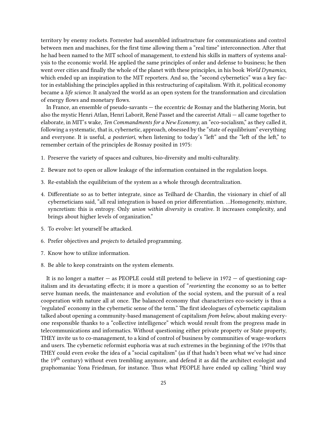territory by enemy rockets. Forrester had assembled infrastructure for communications and control between men and machines, for the first time allowing them a "real time" interconnection. After that he had been named to the MIT school of management, to extend his skills in matters of systems analysis to the economic world. He applied the same principles of order and defense to business; he then went over cities and finally the whole of the planet with these principles, in his book World Dynamics, which ended up an inspiration to the MIT reporters. And so, the "second cybernetics" was a key factor in establishing the principles applied in this restructuring of capitalism. With it, political economy became a life science. It analyzed the world as an open system for the transformation and circulation of energy flows and monetary flows.

In France, an ensemble of pseudo-savants - the eccentric de Rosnay and the blathering Morin, but also the mystic Henri Atlan, Henri Laborit, René Passet and the careerist Attali - all came together to elaborate, in MIT's wake, Ten Commandments for a New Economy, an "eco-socialism," as they called it, following a systematic, that is, cybernetic, approach, obsessed by the "state of equilibrium" everything and everyone. It is useful, a posteriori, when listening to today's "left" and the "left of the left," to remember certain of the principles de Rosnay posited in 1975:

- 1. Preserve the variety of spaces and cultures, bio-diversity and multi-culturality.
- 2. Beware not to open or allow leakage of the information contained in the regulation loops.
- 3. Re-establish the equilibrium of the system as a whole through decentralization.
- 4. Differentiate so as to better integrate, since as Teilhard de Chardin, the visionary in chief of all cyberneticians said, "all real integration is based on prior differentiation. ...Homogeneity, mixture, syncretism: this is entropy. Only *union within diversity* is creative. It increases complexity, and brings about higher levels of organization."
- 5. To evolve: let yourself be attacked.
- 6. Prefer objectives and *projects* to detailed programming.
- 7. Know how to utilize information.
- 8. Be able to keep constraints on the system elements.

It is no longer a matter  $-$  as PEOPLE could still pretend to believe in  $1972 -$  of questioning capitalism and its devastating effects; it is more a question of "reorienting the economy so as to better serve human needs, the maintenance and evolution of the social system, and the pursuit of a real cooperation with nature all at once. The balanced economy that characterizes eco-society is thus a 'regulated' economy in the cybernetic sense of the term." The first ideologues of cybernetic capitalism talked about opening a community-based management of capitalism from below, about making everyone responsible thanks to a "collective intelligence" which would result from the progress made in telecommunications and informatics. Without questioning either private property or State property, THEY invite us to co-management, to a kind of control of business by communities of wage-workers and users. The cybernetic reformist euphoria was at such extremes in the beginning of the 1970s that THEY could even evoke the idea of a "social capitalism" (as if that hadn't been what we've had since the 19<sup>th</sup> century) without even trembling anymore, and defend it as did the architect ecologist and graphomaniac Yona Friedman, for instance. Thus what PEOPLE have ended up calling "third way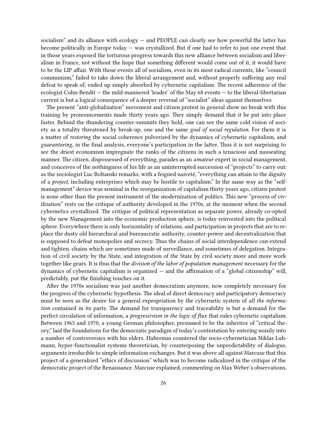socialism" and its alliance with  $ecology - and PEOPLE$  can clearly see how powerful the latter has become politically in Europe today — was crystallized. But if one had to refer to just one event that in those years exposed the torturous progress towards this new alliance between socialism and liberalism in France, not without the hope that something different would come out of it, it would have to be the LIP affair. With those events all of socialism, even in its most radical currents, like "council" communism," failed to take down the liberal arrangement and, without properly suffering any real defeat to speak of, ended up simply absorbed by cybernetic capitalism. The recent adherence of the ecologist Cohn-Bendit - the mild-mannered 'leader' of the May 68 events - to the liberal-libertarian current is but a logical consequence of a deeper reversal of "socialist" ideas against themselves.

The present "anti-globalization" movement and citizen protest in general show no break with this training by pronouncements made thirty years ago. They simply demand that it be put into place faster. Behind the thundering counter-summits they hold, one can see the same cold vision of society as a totality threatened by break-up, one and the same goal of social regulation. For them it is a matter of restoring the social coherence pulverized by the dynamics of cybernetic capitalism, and guaranteeing, in the final analysis, everyone's participation in the latter. Thus it is not surprising to see the driest economism impregnate the ranks of the citizens in such a tenacious and nauseating manner. The citizen, dispossessed of everything, parades as an *amateur* expert in social management, and conceives of the nothingness of his life as an uninterrupted succession of "projects" to carry out: as the sociologist Luc Boltanski remarks, with a feigned naiveté, "everything can attain to the dignity of a *project*, including enterprises which may be hostile to capitalism." In the same way as the "selfmanagement" device was seminal in the reorganization of capitalism thirty years ago, citizen protest is none other than the present instrument of the modernization of politics. This new "process of civilization" rests on the critique of authority developed in the 1970s, at the moment when the second cybernetics crystallized. The critique of political representation as separate power, already co-opted by the new Management into the economic production sphere, is today reinvested into the political sphere. Everywhere there is only horizontality of relations, and participation in projects that are to replace the dusty old hierarchical and bureaucratic authority, counter-power and decentralization that is supposed to defeat monopolies and secrecy. Thus the chains of social interdependence can extend and tighten, chains which are sometimes made of surveillance, and sometimes of delegation. Integration of civil society by the State, and integration of the State by civil society more and more work together like gears. It is thus that the division of the labor of population management necessary for the dynamics of cybernetic capitalism is organized  $-$  and the affirmation of a "global citizenship" will, predictably, put the finishing touches on it.

After the 1970s socialism was just another democratism anymore, now completely necessary for the progress of the cybernetic hypothesis. The ideal of direct democracy and participatory democracy must be seen as the desire for a general expropriation by the cybernetic system of all the information contained in its parts. The demand for transparency and traceability is but a demand for the perfect circulation of information, a *progressivism in the logic of flux* that rules cybernetic capitalism. Between 1965 and 1970, a young German philosopher, presumed to be the inheritor of "critical theory," laid the foundations for the democratic paradigm of today's contestation by entering noisily into a number of controversies with his elders. Habermas countered the socio-cybernetician Niklas Luhmann, hyper-functionalist systems theoretician, by counterposing the unpredictability of dialogue, arguments irreducible to simple information exchanges. But it was above all against Marcuse that this project of a generalized "ethics of discussion" which was to become radicalized in the critique of the democratic project of the Renaissance. Marcuse explained, commenting on Max Weber's observations,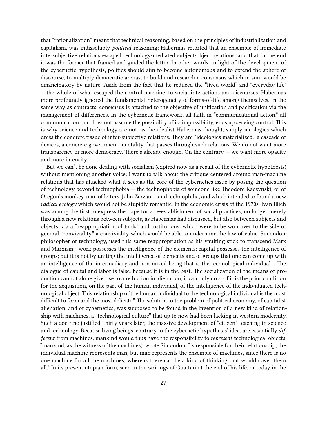that "rationalization" meant that technical reasoning, based on the principles of industrialization and capitalism, was indissolubly *political* reasoning; Habermas retorted that an ensemble of immediate intersubjective relations escaped technology-mediated subject-object relations, and that in the end it was the former that framed and guided the latter. In other words, in light of the development of the cybernetic hypothesis, politics should aim to become autonomous and to extend the sphere of discourse, to multiply democratic arenas, to build and research a consensus which in sum would be emancipatory by nature. Aside from the fact that he reduced the "lived world" and "everyday life" - the whole of what escaped the control machine, to social interactions and discourses, Habermas more profoundly ignored the fundamental heterogeneity of forms-of-life among themselves. In the same way as contracts, consensus is attached to the objective of unification and pacification via the management of differences. In the cybernetic framework, all faith in "communicational action," all communication that does not assume the possibility of its impossibility, ends up serving control. This is why science and technology are not, as the idealist Habermas thought, simply ideologies which dress the concrete tissue of inter-subjective relations. They are "ideologies materialized," a cascade of devices, a concrete government-mentality that passes through such relations. We do not want more transparency or more democracy. There's already enough. On the contrary  $-$  we want more opacity and more intensity.

But we can't be done dealing with socialism (expired now as a result of the cybernetic hypothesis) without mentioning another voice: I want to talk about the critique centered around man-machine relations that has attacked what it sees as the core of the cybernetics issue by posing the question of technology beyond technophobia — the technophobia of someone like Theodore Kaczynski, or of Oregon's monkey-man of letters, John Zerzan - and technophilia, and which intended to found a new radical ecology which would not be stupidly romantic. In the economic crisis of the 1970s, Ivan Illich was among the first to express the hope for a re-establishment of social practices, no longer merely through a new relations between subjects, as Habermas had discussed, but also between subjects and objects, via a "reappropriation of tools" and institutions, which were to be won over to the side of general "conviviality," a conviviality which would be able to undermine the law of value. Simondon, philosopher of technology, used this same reappropriation as his vaulting stick to transcend Marx and Marxism: "work possesses the intelligence of the elements; capital possesses the intelligence of groups; but it is not by uniting the intelligence of elements and of groups that one can come up with an intelligence of the intermediary and non-mixed being that is the technological individual... The dialogue of capital and labor is false, because it is in the past. The socialization of the means of production cannot alone give rise to a reduction in alienation; it can only do so if it is the prior condition for the acquisition, on the part of the human individual, of the intelligence of the individuated technological object. This relationship of the human individual to the technological individual is the most difficult to form and the most delicate." The solution to the problem of political economy, of capitalist alienation, and of cybernetics, was supposed to be found in the invention of a new kind of relationship with machines, a "technological culture" that up to now had been lacking in western modernity. Such a doctrine justified, thirty years later, the massive development of "citizen" teaching in science and technology. Because living beings, contrary to the cybernetic hypothesis' idea, are essentially different from machines, mankind would thus have the responsibility to represent technological objects: "mankind, as the witness of the machines," wrote Simondon, "is responsible for their relationship; the individual machine represents man, but man represents the ensemble of machines, since there is no one machine for all the machines, whereas there can be a kind of thinking that would cover them all." In its present utopian form, seen in the writings of Guattari at the end of his life, or today in the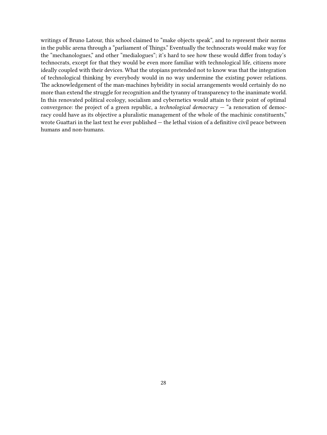writings of Bruno Latour, this school claimed to "make objects speak", and to represent their norms in the public arena through a "parliament of Things." Eventually the technocrats would make way for the "mechanologues," and other "medialogues"; it's hard to see how these would differ from today's technocrats, except for that they would be even more familiar with technological life, citizens more ideally coupled with their devices. What the utopians pretended not to know was that the integration of technological thinking by everybody would in no way undermine the existing power relations. The acknowledgement of the man-machines hybridity in social arrangements would certainly do no more than extend the struggle for recognition and the tyranny of transparency to the inanimate world. In this renovated political ecology, socialism and cybernetics would attain to their point of optimal convergence: the project of a green republic, a *technological democracy*  $-$  "a renovation of democracy could have as its objective a pluralistic management of the whole of the machinic constituents," wrote Guattari in the last text he ever published - the lethal vision of a definitive civil peace between humans and non-humans.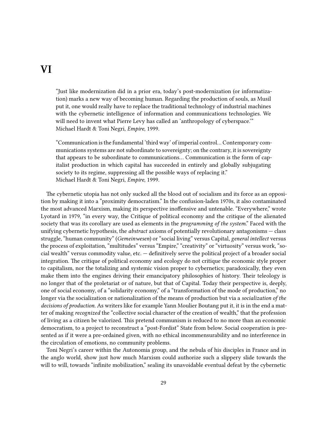<span id="page-28-0"></span>**VI** 

"Just like modernization did in a prior era, today's post-modernization (or informatization) marks a new way of becoming human. Regarding the production of souls, as Musil put it, one would really have to replace the traditional technology of industrial machines with the cybernetic intelligence of information and communications technologies. We will need to invent what Pierre Levy has called an 'anthropology of cyberspace." Michael Hardt & Toni Negri, Empire, 1999.

"Communication is the fundamental 'third way' of imperial control... Contemporary communications systems are not subordinate to sovereignty; on the contrary, it is sovereignty that appears to be subordinate to communications... Communication is the form of capitalist production in which capital has succeeded in entirely and globally subjugating society to its regime, suppressing all the possible ways of replacing it." Michael Hardt & Toni Negri, Empire, 1999.

The cybernetic utopia has not only sucked all the blood out of socialism and its force as an opposition by making it into a "proximity democratism." In the confusion-laden 1970s, it also contaminated the most advanced Marxism, making its perspective inoffensive and untenable. "Everywhere," wrote Lyotard in 1979, "in every way, the Critique of political economy and the critique of the alienated society that was its corollary are used as elements in the programming of the system." Faced with the unifying cybernetic hypothesis, the *abstract* axioms of potentially revolutionary antagonisms - class struggle, "human community" (Gemeinwesen) or "social living" versus Capital, general intellect versus the process of exploitation, "multitudes" versus "Empire," "creativity" or "virtuosity" versus work, "social wealth" versus commodity value, etc. - definitively serve the political project of a broader social integration. The critique of political economy and ecology do not critique the economic style proper to capitalism, nor the totalizing and systemic vision proper to cybernetics; paradoxically, they even make them into the engines driving their emancipatory philosophies of history. Their teleology is no longer that of the proletariat or of nature, but that of Capital. Today their perspective is, deeply, one of social economy, of a "solidarity economy," of a "transformation of the mode of production," no longer via the socialization or nationalization of the means of production but via a socialization of the decisions of production. As writers like for example Yann Moulier Boutang put it, it is in the end a matter of making *recognized* the "collective social character of the creation of wealth," that the profession of living as a citizen be valorized. This pretend communism is reduced to no more than an economic democratism, to a project to reconstruct a "post-Fordist" State from below. Social cooperation is presented as if it were a pre-ordained given, with no ethical incommensurability and no interference in the circulation of emotions, no community problems.

Toni Negri's career within the Autonomia group, and the nebula of his disciples in France and in the anglo world, show just how much Marxism could authorize such a slippery slide towards the will to will, towards "infinite mobilization," sealing its unavoidable eventual defeat by the cybernetic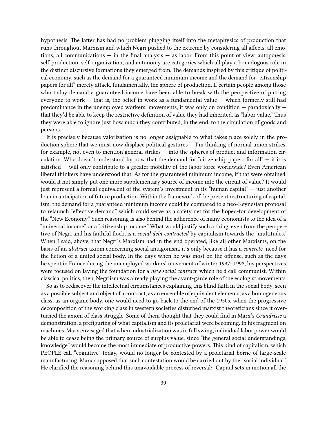hypothesis. The latter has had no problem plugging itself into the metaphysics of production that runs throughout Marxism and which Negri pushed to the extreme by considering all affects, all emotions, all communications  $-$  in the final analysis  $-$  as labor. From this point of view, autopoïesis, self-production, self-organization, and autonomy are categories which all play a homologous role in the distinct discursive formations they emerged from. The demands inspired by this critique of political economy, such as the demand for a guaranteed minimum income and the demand for "citizenship" papers for all" merely attack, fundamentally, the sphere of production. If certain people among those who today demand a guaranteed income have been able to break with the perspective of putting everyone to work  $-$  that is, the belief in work as a fundamental value  $-$  which formerly still had predominance in the unemployed workers' movements, it was only on condition  $-$  paradoxically  $$ that they'd be able to keep the restrictive definition of value they had inherited, as "labor value." Thus they were able to ignore just how much they contributed, in the end, to the circulation of goods and persons.

It is precisely because valorization is no longer assignable to what takes place solely in the production sphere that we must now displace political gestures  $-$  I'm thinking of normal union strikes, for example, not even to mention general strikes  $-$  into the spheres of product and information circulation. Who doesn't understand by now that the demand for "citizenship papers for all"  $-$  if it is satisfied – will only contribute to a greater mobility of the labor force worldwide? Even American liberal thinkers have understood that. As for the guaranteed minimum income, if that were obtained, would it not simply put one more supplementary source of income into the circuit of value? It would just represent a formal equivalent of the system's investment in its "human capital"  $-$  just another loan in anticipation of future production. Within the framework of the present restructuring of capitalism, the demand for a guaranteed minimum income could be compared to a neo-Keynesian proposal to relaunch "effective demand" which could serve as a safety net for the hoped-for development of the "New Economy." Such reasoning is also behind the adherence of many economists to the idea of a "universal income" or a "citizenship income." What would justify such a thing, even from the perspective of Negri and his faithful flock, is a *social debt contracted* by capitalism towards the "multitudes." When I said, above, that Negri's Marxism had in the end operated, like all other Marxisms, on the basis of an *abstract* axiom concerning social antagonism, it's only because it has a *concrete* need for the fiction of a united social body. In the days when he was most on the offense, such as the days he spent in France during the unemployed workers' movement of winter 1997–1998, his perspectives were focused on laying the foundation for a new social contract, which he'd call communist. Within classical politics, then, Negriism was already playing the avant-garde role of the ecologist movements.

So as to rediscover the intellectual circumstances explaining this blind faith in the social body, seen as a possible subject and object of a contract, as an ensemble of equivalent elements, as a homogeneous class, as an organic body, one would need to go back to the end of the 1950s, when the progressive decomposition of the working class in western societies disturbed marxist theoreticians since it overturned the axiom of class struggle. Some of them thought that they could find in Marx's Grundrisse a demonstration, a prefiguring of what capitalism and its proletariat were becoming. In his fragment on machines, Marx envisaged that when industrialization was in full swing, individual labor power would be able to cease being the primary source of surplus value, since "the general social understandings, knowledge" would become the most immediate of productive powers. This kind of capitalism, which PEOPLE call "cognitive" today, would no longer be contested by a proletariat borne of large-scale manufacturing. Marx supposed that such contestation would be carried out by the "social individual." He clarified the reasoning behind this unavoidable process of reversal: "Capital sets in motion all the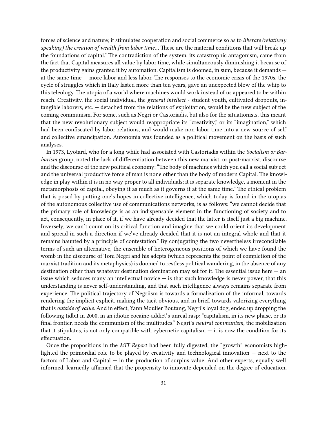forces of science and nature; it stimulates cooperation and social commerce so as to *liberate (relatively* speaking) the creation of wealth from labor time... These are the material conditions that will break up the foundations of capital." The contradiction of the system, its catastrophic antagonism, came from the fact that Capital measures all value by labor time, while simultaneously diminishing it because of the productivity gains granted it by automation. Capitalism is doomed, in sum, because it demands at the same time  $-$  more labor and less labor. The responses to the economic crisis of the 1970s, the cycle of struggles which in Italy lasted more than ten years, gave an unexpected blow of the whip to this teleology. The utopia of a world where machines would work instead of us appeared to be within reach. Creativity, the social individual, the general intellect - student youth, cultivated dropouts, intangible laborers, etc.  $-$  detached from the relations of exploitation, would be the new subject of the coming communism. For some, such as Negri or Castoriadis, but also for the situationists, this meant that the new revolutionary subject would reappropriate its "creativity," or its "imagination," which had been confiscated by labor relations, and would make non-labor time into a new source of self and collective emancipation. Autonomia was founded as a political movement on the basis of such analyses.

In 1973, Lyotard, who for a long while had associated with Castoriadis within the Socialism or Barbarism group, noted the lack of differentiation between this new marxist, or post-marxist, discourse and the discourse of the new political economy: "The body of machines which you call a social subject and the universal productive force of man is none other than the body of modern Capital. The knowledge in play within it is in no way proper to all individuals; it is separate knowledge, a moment in the metamorphosis of capital, obeying it as much as it governs it at the same time." The ethical problem that is posed by putting one's hopes in collective intelligence, which today is found in the utopias of the autonomous collective use of communications networks, is as follows: "we cannot decide that the primary role of knowledge is as an indispensable element in the functioning of society and to act, consequently, in place of it, if we have already decided that the latter is itself just a big machine. Inversely, we can't count on its critical function and imagine that we could orient its development and spread in such a direction if we've already decided that it is not an integral whole and that it remains haunted by a principle of contestation." By conjugating the two nevertheless irreconcilable terms of such an alternative, the ensemble of heterogeneous positions of which we have found the womb in the discourse of Toni Negri and his adepts (which represents the point of completion of the marxist tradition and its metaphysics) is doomed to restless political wandering, in the absence of any destination other than whatever destination domination may set for it. The essential issue here  $-$  an issue which seduces many an intellectual novice  $-$  is that such knowledge is never power, that this understanding is never self-understanding, and that such intelligence always remains separate from experience. The political trajectory of Negriism is towards a formalization of the informal, towards rendering the implicit explicit, making the tacit obvious, and in brief, towards valorizing everything that is *outside of value*. And in effect, Yann Moulier Boutang, Negri's loyal dog, ended up dropping the following tidbit in 2000, in an idiotic cocaine-addict's unreal rasp: "capitalism, in its new phase, or its final frontier, needs the communism of the multitudes." Negri's neutral communism, the mobilization that it stipulates, is not only compatible with cybernetic capitalism  $-$  it is now the condition for its effectuation.

Once the propositions in the MIT Report had been fully digested, the "growth" economists highlighted the primordial role to be played by creativity and technological innovation  $-$  next to the factors of Labor and Capital  $-$  in the production of surplus value. And other experts, equally well informed, learnedly affirmed that the propensity to innovate depended on the degree of education,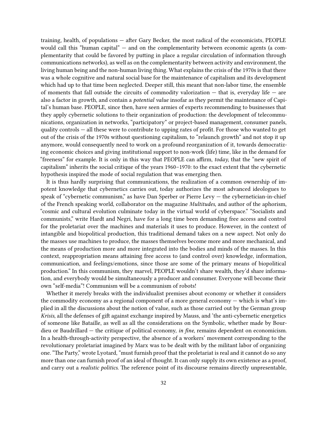training, health, of populations – after Gary Becker, the most radical of the economicists, PEOPLE would call this "human capital" – and on the complementarity between economic agents (a complementarity that could be favored by putting in place a regular circulation of information through communications networks), as well as on the complementarity between activity and environment, the living human being and the non-human living thing. What explains the crisis of the 1970s is that there was a whole cognitive and natural social base for the maintenance of capitalism and its development which had up to that time been neglected. Deeper still, this meant that non-labor time, the ensemble of moments that fall outside the circuits of commodity valorization  $-$  that is, everyday life  $-$  are also a factor in growth, and contain a potential value insofar as they permit the maintenance of Capital's human base. PEOPLE, since then, have seen armies of experts recommending to businesses that they apply cybernetic solutions to their organization of production: the development of telecommunications, organization in networks, "participatory" or project-based management, consumer panels, quality controls - all these were to contribute to upping rates of profit. For those who wanted to get out of the crisis of the 1970s without questioning capitalism, to "relaunch growth" and not stop it up anymore, would consequently need to work on a profound reorganization of it, towards democratizing economic choices and giving institutional support to non-work (life) time, like in the demand for "freeness" for example. It is only in this way that PEOPLE can affirm, today, that the "new spirit of capitalism" inherits the social critique of the years 1960-1970: to the exact extent that the cybernetic hypothesis inspired the mode of social regulation that was emerging then.

It is thus hardly surprising that communications, the realization of a common ownership of impotent knowledge that cybernetics carries out, today authorizes the most advanced ideologues to speak of "cybernetic communism," as have Dan Sperber or Pierre Levy — the cybernetician-in-chief of the French speaking world, collaborator on the magazine *Multitudes*, and author of the aphorism, "cosmic and cultural evolution culminate today in the virtual world of cyberspace." "Socialists and communists," write Hardt and Negri, have for a long time been demanding free access and control for the proletariat over the machines and materials it uses to produce. However, in the context of intangible and biopolitical production, this traditional demand takes on a new aspect. Not only do the masses use machines to produce, the masses themselves become more and more mechanical, and the means of production more and more integrated into the bodies and minds of the masses. In this context, reappropriation means attaining free access to (and control over) knowledge, information, communication, and feelings/emotions, since those are some of the primary means of biopolitical production." In this communism, they marvel, PEOPLE wouldn't share wealth, they'd share information, and everybody would be simultaneously a producer and consumer. Everyone will become their own "self-media"! Communism will be a communism of robots!

Whether it merely breaks with the individualist premises about economy or whether it considers the commodity economy as a regional component of a more general economy  $-$  which is what's implied in all the discussions about the notion of value, such as those carried out by the German group Krisis, all the defenses of gift against exchange inspired by Mauss, and 'the anti-cybernetic energetics of someone like Bataille, as well as all the considerations on the Symbolic, whether made by Bourdieu or Baudrillard — the critique of political economy, in fine, remains dependent on economicism. In a health-through-activity perspective, the absence of a workers' movement corresponding to the revolutionary proletariat imagined by Marx was to be dealt with by the militant labor of organizing one. "The Party," wrote Lyotard, "must furnish proof that the proletariat is real and it cannot do so any more than one can furnish proof of an ideal of thought. It can only supply its own existence as a proof, and carry out a *realistic politics*. The reference point of its discourse remains directly unpresentable,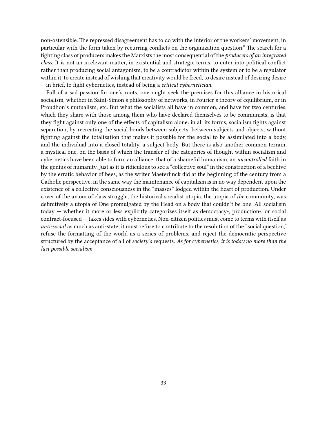non-ostensible. The repressed disagreement has to do with the interior of the workers' movement, in particular with the form taken by recurring conflicts on the organization question." The search for a fighting class of producers makes the Marxists the most consequential of the producers of an integrated class. It is not an irrelevant matter, in existential and strategic terms, to enter into political conflict rather than producing social antagonism, to be a contradictor within the system or to be a regulator within it, to create instead of wishing that creativity would be freed, to desire instead of desiring desire  $-$  in brief, to fight cybernetics, instead of being a *critical cybernetician*.

Full of a sad passion for one's roots, one might seek the premises for this alliance in historical socialism, whether in Saint-Simon's philosophy of networks, in Fourier's theory of equilibrium, or in Proudhon's mutualism, etc. But what the socialists all have in common, and have for two centuries, which they share with those among them who have declared themselves to be communists, is that they fight against only one of the effects of capitalism alone: in all its forms, socialism fights against separation, by recreating the social bonds between subjects, between subjects and objects, without fighting against the totalization that makes it possible for the social to be assimilated into a body, and the individual into a closed totality, a subject-body. But there is also another common terrain, a mystical one, on the basis of which the transfer of the categories of thought within socialism and cybernetics have been able to form an alliance: that of a shameful humanism, an *uncontrolled* faith in the genius of humanity. Just as it is ridiculous to see a "collective soul" in the construction of a beehive by the erratic behavior of bees, as the writer Maeterlinck did at the beginning of the century from a Catholic perspective, in the same way the maintenance of capitalism is in no way dependent upon the existence of a collective consciousness in the "masses" lodged within the heart of production. Under cover of the axiom of class struggle, the historical socialist utopia, the utopia of the community, was definitively a utopia of One promulgated by the Head on a body that couldn't be one. All socialism today – whether it more or less explicitly categorizes itself as democracy-, production-, or social contract-focused - takes sides with cybernetics. Non-citizen politics must come to terms with itself as anti-social as much as anti-state; it must refuse to contribute to the resolution of the "social question," refuse the formatting of the world as a series of problems, and reject the democratic perspective structured by the acceptance of all of society's requests. As for cybernetics, it is today no more than the last possible socialism.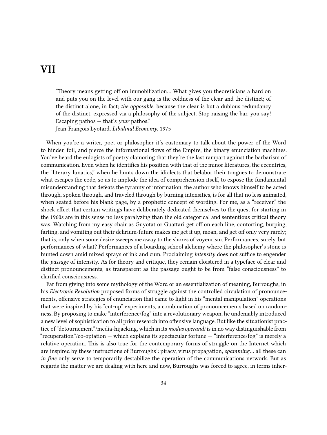#### <span id="page-33-0"></span>**VII**

"Theory means getting off on immobilization... What gives you theoreticians a hard on and puts you on the level with our gang is the coldness of the clear and the distinct; of the distinct alone, in fact; the opposable, because the clear is but a dubious redundancy of the distinct, expressed via a philosophy of the subject. Stop raising the bar, you say! Escaping pathos  $-$  that's your pathos."

Jean-François Lyotard, Libidinal Economy, 1975

When you're a writer, poet or philosopher it's customary to talk about the power of the Word to hinder, foil, and pierce the informational flows of the Empire, the binary enunciation machines. You've heard the eulogists of poetry clamoring that they're the last rampart against the barbarism of communication. Even when he identifies his position with that of the minor literatures, the eccentrics, the "literary lunatics," when he hunts down the idiolects that belabor their tongues to demonstrate what escapes the code, so as to implode the idea of comprehension itself, to expose the fundamental misunderstanding that defeats the tyranny of information, the author who knows himself to be acted through, spoken through, and traveled through by burning intensities, is for all that no less animated, when seated before his blank page, by a prophetic concept of wording. For me, as a "receiver," the shock effect that certain writings have deliberately dedicated themselves to the quest for starting in the 1960s are in this sense no less paralyzing than the old categorical and sententious critical theory was. Watching from my easy chair as Guyotat or Guattari get off on each line, contorting, burping, farting, and vomiting out their delirium-future makes me get it up, moan, and get off only very rarely; that is, only when some desire sweeps me away to the shores of voyeurism. Performances, surely, but performances of what? Performances of a boarding school alchemy where the philosopher's stone is hunted down amid mixed sprays of ink and cum. Proclaiming *intensity* does not suffice to engender the passage of intensity. As for theory and critique, they remain cloistered in a typeface of clear and distinct pronouncements, as transparent as the passage ought to be from "false consciousness" to clarified consciousness.

Far from giving into some mythology of the Word or an essentialization of meaning, Burroughs, in his Electronic Revolution proposed forms of struggle against the controlled circulation of pronouncements, offensive strategies of enunciation that came to light in his "mental manipulation" operations that were inspired by his "cut-up" experiments, a combination of pronouncements based on randomness. By proposing to make "interference/fog" into a revolutionary weapon, he undeniably introduced a new level of sophistication to all prior research into offensive language. But like the situationist practice of "detournement"/media-hijacking, which in its modus operandi is in no way distinguishable from "recuperation"/co-optation - which explains its spectacular fortune - "interference/fog" is merely a relative operation. This is also true for the contemporary forms of struggle on the Internet which are inspired by these instructions of Burroughs': piracy, virus propagation, *spamming...* all these can in fine only serve to temporarily destabilize the operation of the communications network. But as regards the matter we are dealing with here and now, Burroughs was forced to agree, in terms inher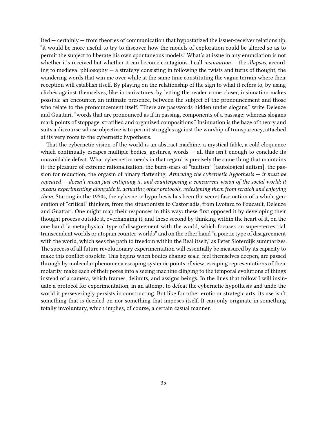ited — certainly — from theories of communication that hypostatized the issuer-receiver relationship: "it would be more useful to try to discover how the models of exploration could be altered so as to permit the subject to liberate his own spontaneous models." What's at issue in any enunciation is not whether it's received but whether it can become contagious. I call insinuation  $-$  the illapsus, according to medieval philosophy  $-$  a strategy consisting in following the twists and turns of thought, the wandering words that win me over while at the same time constituting the vague terrain where their reception will establish itself. By playing on the relationship of the sign to what it refers to, by using clichés against themselves, like in caricatures, by letting the reader come closer, insinuation makes possible an encounter, an intimate presence, between the subject of the pronouncement and those who relate to the pronouncement itself. "There are passwords hidden under slogans," write Deleuze and Guattari, "words that are pronounced as if in passing, components of a passage; whereas slogans mark points of stoppage, stratified and organized compositions." Insinuation is the haze of theory and suits a discourse whose objective is to permit struggles against the worship of transparency, attached at its very roots to the cybernetic hypothesis.

That the cybernetic vision of the world is an abstract machine, a mystical fable, a cold eloquence which continually escapes multiple bodies, gestures, words  $-$  all this isn't enough to conclude its unavoidable defeat. What cybernetics needs in that regard is precisely the same thing that maintains it: the pleasure of extreme rationalization, the burn-scars of "tautism" [tautological autism], the passion for reduction, the orgasm of binary flattening. Attacking the cybernetic hypothesis  $-$  it must be repeated — doesn't mean just critiquing it, and counterposing a concurrent vision of the social world; it means experimenting alongside it, actuating other protocols, redesigning them from scratch and enjoying them. Starting in the 1950s, the cybernetic hypothesis has been the secret fascination of a whole generation of "critical" thinkers, from the situationists to Castoriadis, from Lyotard to Foucault, Deleuze and Guattari. One might map their responses in this way: these first opposed it by developing their thought process outside it, overhanging it, and these second by thinking within the heart of it, on the one hand "a metaphysical type of disagreement with the world, which focuses on super-terrestrial, transcendent worlds or utopian counter-worlds" and on the other hand "a poïetic type of disagreement with the world, which sees the path to freedom within the Real itself," as Peter Sloterdijk summarizes. The success of all future revolutionary experimentation will essentially be measured by its capacity to make this conflict obsolete. This begins when bodies change scale, feel themselves deepen, are passed through by molecular phenomena escaping systemic points of view, escaping representations of their molarity, make each of their pores into a seeing machine clinging to the temporal evolutions of things instead of a camera, which frames, delimits, and assigns beings. In the lines that follow I will insinuate a protocol for experimentation, in an attempt to defeat the cybernetic hypothesis and undo the world it perseveringly persists in constructing. But like for other erotic or strategic arts, its use isn't something that is decided on nor something that imposes itself. It can only originate in something totally involuntary, which implies, of course, a certain casual manner.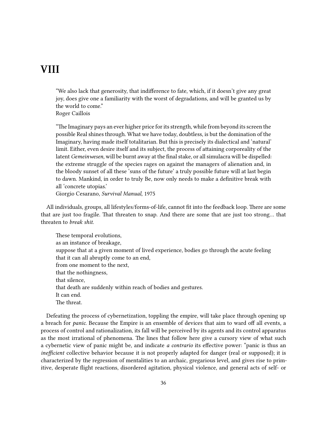#### <span id="page-35-0"></span>**VIII**

"We also lack that generosity, that indifference to fate, which, if it doesn't give any great joy, does give one a familiarity with the worst of degradations, and will be granted us by the world to come."

Roger Caillois

"The Imaginary pays an ever higher price for its strength, while from beyond its screen the possible Real shines through. What we have today, doubtless, is but the domination of the Imaginary, having made itself totalitarian. But this is precisely its dialectical and 'natural' limit. Either, even desire itself and its subject, the process of attaining corporeality of the latent Gemeinwesen, will be burnt away at the final stake, or all simulacra will be dispelled: the extreme struggle of the species rages on against the managers of alienation and, in the bloody sunset of all these 'suns of the future' a truly possible future will at last begin to dawn. Mankind, in order to truly Be, now only needs to make a definitive break with all 'concrete utopias.'

Giorgio Cesarano, Survival Manual, 1975

All individuals, groups, all lifestyles/forms-of-life, cannot fit into the feedback loop. There are some that are just too fragile. That threaten to snap. And there are some that are just too strong... that threaten to break shit.

These temporal evolutions, as an instance of breakage, suppose that at a given moment of lived experience, bodies go through the acute feeling that it can all abruptly come to an end, from one moment to the next. that the nothingness, that silence. that death are suddenly within reach of bodies and gestures. It can end. The threat.

Defeating the process of cybernetization, toppling the empire, will take place through opening up a breach for panic. Because the Empire is an ensemble of devices that aim to ward off all events, a process of control and rationalization, its fall will be perceived by its agents and its control apparatus as the most irrational of phenomena. The lines that follow here give a cursory view of what such a cybernetic view of panic might be, and indicate *a contrario* its effective power: "panic is thus an inefficient collective behavior because it is not properly adapted for danger (real or supposed); it is characterized by the regression of mentalities to an archaic, gregarious level, and gives rise to primitive, desperate flight reactions, disordered agitation, physical violence, and general acts of self- or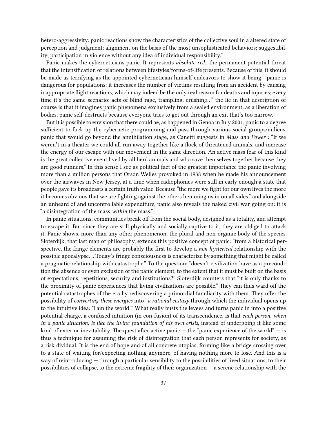hetero-aggressivity: panic reactions show the characteristics of the collective soul in a altered state of perception and judgment; alignment on the basis of the most unsophisticated behaviors; suggestibility; participation in violence without any idea of individual responsibility."

Panic makes the cyberneticians panic. It represents *absolute risk*, the permanent potential threat that the intensification of relations between lifestyles/forms-of-life presents. Because of this, it should be made as terrifying as the appointed cybernetician himself endeavors to show it being: "panic is dangerous for populations; it increases the number of victims resulting from an accident by causing inappropriate flight reactions, which may indeed be the only real reason for deaths and injuries; every time it's the same scenario: acts of blind rage, trampling, crushing..." the lie in that description of course is that it imagines panic phenomena exclusively from a sealed environment: as a liberation of bodies, panic self-destructs because everyone tries to get out through an exit that's too narrow.

But it is possible to envision that there could be, as happened in Genoa in July 2001, panic to a degree sufficient to fuck up the cybernetic programming and pass through various social groups/milieus, panic that would go beyond the annihilation stage, as Canetti suggests in Mass and Power: "If we weren't in a theater we could all run away together like a flock of threatened animals, and increase the energy of our escape with our movement in the same direction. An active mass fear of this kind is the great collective event lived by all herd animals and who save themselves together because they are good runners." In this sense I see as political fact of the greatest importance the panic involving more than a million persons that Orson Welles provoked in 1938 when he made his announcement over the airwaves in New Jersey, at a time when radiophonics were still in early enough a state that people gave its broadcasts a certain truth value. Because "the more we fight for our own lives the more it becomes obvious that we are fighting against the others hemming us in on all sides," and alongside an unheard of and uncontrollable expenditure, panic also reveals the naked civil war going on: it is "a disintegration of the mass within the mass."

In panic situations, communities break off from the social body, designed as a totality, and attempt to escape it. But since they are still physically and socially captive to it, they are obliged to attack it. Panic shows, more than any other phenomenon, the plural and non-organic body of the species. Sloterdijk, that last man of philosophy, extends this positive concept of panic: "from a historical perspective, the fringe elements are probably the first to develop a non hysterical relationship with the possible apocalypse. ...Today's fringe consciousness is characterize by something that might be called a pragmatic relationship with catastrophe." To the question: "doesn't civilization have as a precondition the absence or even exclusion of the panic element, to the extent that it must be built on the basis of expectations, repetitions, security and institutions?" Sloterdijk counters that "it is only thanks to the proximity of panic experiences that living civilizations are possible." They can thus ward off the potential catastrophes of the era by rediscovering a primordial familiarity with them. They offer the possibility of converting these energies into "a rational ecstasy through which the individual opens up to the intuitive idea: 'I am the world'." What really busts the levees and turns panic in into a positive potential charge, a confused intuition (in con-fusion) of its transcendence, is that each person, when in a panic situation, is like the living foundation of his own crisis, instead of undergoing it like some kind of exterior inevitability. The quest after active panic  $-$  the "panic experience of the world"  $-$  is thus a technique for assuming the risk of disintegration that each person represents for society, as a risk dividual. It is the end of hope and of all concrete utopias, forming like a bridge crossing over to a state of waiting for/expecting nothing anymore, of having nothing more to lose. And this is a way of reintroducing  $-$  through a particular sensibility to the possibilities of lived situations, to their possibilities of collapse, to the extreme fragility of their organization  $-$  a serene relationship with the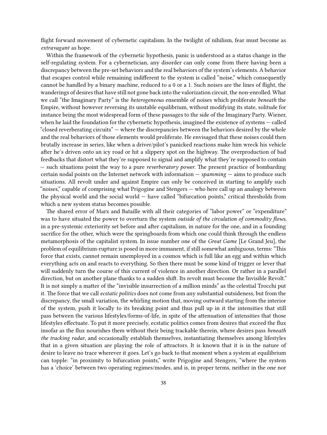flight forward movement of cybernetic capitalism. In the twilight of nihilism, fear must become as extravagant as hope.

Within the framework of the cybernetic hypothesis, panic is understood as a status change in the self-regulating system. For a cybernetician, any disorder can only come from there having been a discrepancy between the pre-set behaviors and the real behaviors of the system's elements. A behavior that escapes control while remaining indifferent to the system is called "noise," which consequently cannot be handled by a binary machine, reduced to a 0 or a 1. Such noises are the lines of flight, the wanderings of desires that have still not gone back into the valorization circuit, the non-enrolled. What we call "the Imaginary Party" is the *heterogeneous* ensemble of noises which proliferate *beneath* the Empire, without however reversing its unstable equilibrium, without modifying its state, solitude for instance being the most widespread form of these passages to the side of the Imaginary Party. Wiener, when he laid the foundation for the cybernetic hypothesis, imagined the existence of systems – called "closed reverberating circuits" - where the discrepancies between the behaviors desired by the whole and the real behaviors of those elements would proliferate. He envisaged that these noises could then brutally increase in series, like when a driver/pilot's panicked reactions make him wreck his vehicle after he's driven onto an icy road or hit a slippery spot on the highway. The overproduction of bad feedbacks that distort what they're supposed to signal and amplify what they're supposed to contain - such situations point the way to a pure *reverberatory power*. The present practice of bombarding certain nodal points on the Internet network with information  $-$  spamming  $-$  aims to produce such situations. All revolt under and against Empire can only be conceived in starting to amplify such "noises," capable of comprising what Prigogine and Stengers - who here call up an analogy between the physical world and the social world – have called "bifurcation points," critical thresholds from which a new system status becomes possible.

The shared error of Marx and Bataille with all their categories of "labor power" or "expenditure" was to have situated the power to overturn the system outside of the circulation of commodity flows, in a pre-systemic exteriority set before and after capitalism, in nature for the one, and in a founding sacrifice for the other, which were the springboards from which one could think through the endless metamorphosis of the capitalist system. In issue number one of the Great Game [Le Grand Jeu], the problem of equilibrium-rupture is posed in more immanent, if still somewhat ambiguous, terms: "This force that exists, cannot remain unemployed in a cosmos which is full like an egg and within which everything acts on and reacts to everything. So then there must be some kind of trigger or lever that will suddenly turn the course of this current of violence in another direction. Or rather in a parallel direction, but on another plane thanks to a sudden shift. Its revolt must become the Invisible Revolt." It is not simply a matter of the "invisible insurrection of a million minds" as the celestial Trocchi put it. The force that we call *ecstatic politics* does not come from any substantial outsideness, but from the discrepancy, the small variation, the whirling motion that, moving outward starting from the interior of the system, push it locally to its breaking point and thus pull up in it the intensities that still pass between the various lifestyles/forms-of-life, in spite of the attenuation of intensities that those lifestyles effectuate. To put it more precisely, ecstatic politics comes from desires that exceed the flux insofar as the flux nourishes them without their being trackable therein, where desires pass beneath the tracking radar, and occasionally establish themselves, instantiating themselves among lifestyles that in a given situation are playing the role of attractors. It is known that it is in the nature of desire to leave no trace wherever it goes. Let's go back to that moment when a system at equilibrium can topple: "in proximity to bifurcation points," write Prigogine and Stengers, "where the system has a 'choice' between two operating regimes/modes, and is, in proper terms, neither in the one nor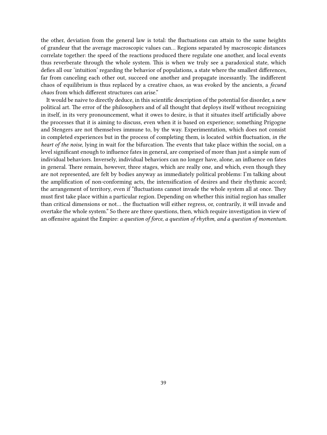the other, deviation from the general law is total: the fluctuations can attain to the same heights of grandeur that the average macroscopic values can... Regions separated by macroscopic distances correlate together: the speed of the reactions produced there regulate one another, and local events thus reverberate through the whole system. This is when we truly see a paradoxical state, which defies all our 'intuition' regarding the behavior of populations, a state where the smallest differences, far from canceling each other out, succeed one another and propagate incessantly. The indifferent chaos of equilibrium is thus replaced by a creative chaos, as was evoked by the ancients, a fecund *chaos* from which different structures can arise."

It would be naive to directly deduce, in this scientific description of the potential for disorder, a new political art. The error of the philosophers and of all thought that deploys itself without recognizing in itself, in its very pronouncement, what it owes to desire, is that it situates itself artificially above the processes that it is aiming to discuss, even when it is based on experience; something Prigogne and Stengers are not themselves immune to, by the way. Experimentation, which does not consist in completed experiences but in the process of completing them, is located within fluctuation, in the heart of the noise, lying in wait for the bifurcation. The events that take place within the social, on a level significant enough to influence fates in general, are comprised of more than just a simple sum of individual behaviors. Inversely, individual behaviors can no longer have, alone, an influence on fates in general. There remain, however, three stages, which are really one, and which, even though they are not represented, are felt by bodies anyway as immediately political problems: I'm talking about the amplification of non-conforming acts, the intensification of desires and their rhythmic accord; the arrangement of territory, even if "fluctuations cannot invade the whole system all at once. They must first take place within a particular region. Depending on whether this initial region has smaller than critical dimensions or not... the fluctuation will either regress, or, contrarily, it will invade and overtake the whole system." So there are three questions, then, which require investigation in view of an offensive against the Empire: a question of force, a question of rhythm, and a question of momentum.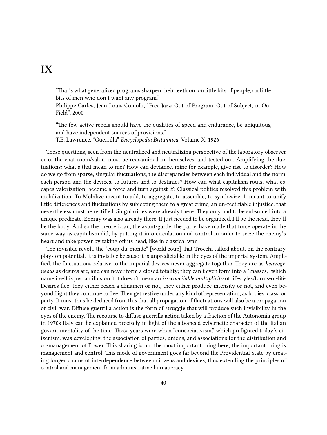## <span id="page-39-0"></span>IX

"That's what generalized programs sharpen their teeth on; on little bits of people, on little bits of men who don't want any program."

Philippe Carles, Jean-Louis Comolli, "Free Jazz: Out of Program, Out of Subject, in Out Field", 2000

"The few active rebels should have the qualities of speed and endurance, be ubiquitous, and have independent sources of provisions."

T.E. Lawrence, "Guerrilla" Encyclopedia Britannica, Volume X, 1926

These questions, seen from the neutralized and neutralizing perspective of the laboratory observer or of the chat-room/salon, must be reexamined in themselves, and tested out. Amplifying the fluctuations: what's that mean to me? How can deviance, mine for example, give rise to disorder? How do we go from sparse, singular fluctuations, the discrepancies between each individual and the norm, each person and the devices, to futures and to destinies? How can what capitalism routs, what escapes valorization, become a force and turn against it? Classical politics resolved this problem with mobilization. To Mobilize meant to add, to aggregate, to assemble, to synthesize. It meant to unify little differences and fluctuations by subjecting them to a great crime, an un-rectifiable injustice, that nevertheless must be rectified. Singularities were already there. They only had to be subsumed into a unique predicate. Energy was also already there. It just needed to be organized. I'll be the head, they'll be the body. And so the theoretician, the avant-garde, the party, have made that force operate in the same way as capitalism did, by putting it into circulation and control in order to seize the enemy's heart and take power by taking off its head, like in classical war.

The invisible revolt, the "coup-du-monde" [world coup] that Trocchi talked about, on the contrary, plays on potential. It is invisible because it is unpredictable in the eyes of the imperial system. Amplified, the fluctuations relative to the imperial devices never aggregate together. They are as *heteroge*neous as desires are, and can never form a closed totality; they can't even form into a "masses," which name itself is just an illusion if it doesn't mean an *irreconcilable multiplicity* of lifestyles/forms-of-life. Desires flee; they either reach a clinamen or not, they either produce intensity or not, and even beyond flight they continue to flee. They get restive under any kind of representation, as bodies, class, or party. It must thus be deduced from this that all propagation of fluctuations will also be a propagation of civil war. Diffuse guerrilla action is the form of struggle that will produce such invisibility in the eyes of the enemy. The recourse to diffuse guerrilla action taken by a fraction of the Autonomia group in 1970s Italy can be explained precisely in light of the advanced cybernetic character of the Italian govern-mentality of the time. These years were when "consociativism," which prefigured today's citizenism, was developing; the association of parties, unions, and associations for the distribution and co-management of Power. This sharing is not the most important thing here; the important thing is management and control. This mode of government goes far beyond the Providential State by creating longer chains of interdependence between citizens and devices, thus extending the principles of control and management from administrative bureaucracy.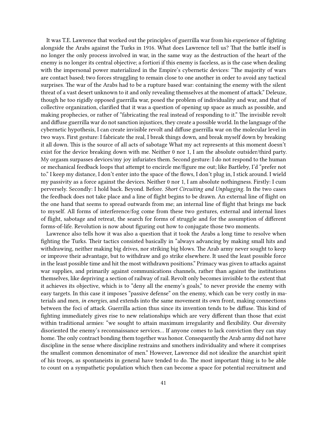It was T.E. Lawrence that worked out the principles of guerrilla war from his experience of fighting alongside the Arabs against the Turks in 1916. What does Lawrence tell us? That the battle itself is no longer the only process involved in war, in the same way as the destruction of the heart of the enemy is no longer its central objective; a fortiori if this enemy is faceless, as is the case when dealing with the impersonal power materialized in the Empire's cybernetic devices: "The majority of wars are contact based; two forces struggling to remain close to one another in order to avoid any tactical surprises. The war of the Arabs had to be a rupture based war: containing the enemy with the silent threat of a vast desert unknown to it and only revealing themselves at the moment of attack." Deleuze, though he too rigidly opposed guerrilla war, posed the problem of individuality and war, and that of collective organization, clarified that it was a question of opening up space as much as possible, and making prophecies, or rather of "fabricating the real instead of responding to it." The invisible revolt and diffuse guerrilla war do not sanction injustices, they create a possible world. In the language of the cybernetic hypothesis, I can create invisible revolt and diffuse guerrilla war on the molecular level in two ways. First gesture: I fabricate the real, I break things down, and break myself down by breaking it all down. This is the source of all acts of sabotage What my act represents at this moment doesn't exist for the device breaking down with me. Neither 0 nor 1, I am the absolute outsider/third party. My orgasm surpasses devices/my joy infuriates them. Second gesture: I do not respond to the human or mechanical feedback loops that attempt to encircle me/figure me out; like Bartleby, I'd "prefer not to." I keep my distance, I don't enter into the space of the flows, I don't plug in, I stick around. I wield my passivity as a force against the devices. Neither 0 nor 1, I am absolute nothingness. Firstly: I cum perversely. Secondly: I hold back. Beyond. Before. Short Circuiting and Unplugging. In the two cases the feedback does not take place and a line of flight begins to be drawn. An external line of flight on the one hand that seems to spread outwards from me; an internal line of flight that brings me back to myself. All forms of interference/fog come from these two gestures, external and internal lines of flight, sabotage and retreat, the search for forms of struggle and for the assumption of different forms-of-life. Revolution is now about figuring out how to conjugate those two moments.

Lawrence also tells how it was also a question that it took the Arabs a long time to resolve when fighting the Turks. Their tactics consisted basically in "always advancing by making small hits and withdrawing, neither making big drives, nor striking big blows. The Arab army never sought to keep or improve their advantage, but to withdraw and go strike elsewhere. It used the least possible force in the least possible time and hit the most withdrawn positions." Primacy was given to attacks against war supplies, and primarily against communications channels, rather than against the institutions themselves, like depriving a section of railway of rail. Revolt only becomes invisible to the extent that it achieves its objective, which is to "deny all the enemy's goals," to never provide the enemy with easy targets. In this case it imposes "passive defense" on the enemy, which can be very costly in materials and men, in energies, and extends into the same movement its own front, making connections between the foci of attack. Guerrilla action thus since its invention tends to be diffuse. This kind of fighting immediately gives rise to new relationships which are very different than those that exist within traditional armies: "we sought to attain maximum irregularity and flexibility. Our diversity disoriented the enemy's reconnaissance services... If anyone comes to lack conviction they can stay home. The only contract bonding them together was honor. Consequently the Arab army did not have discipline in the sense where discipline restrains and smothers individuality and where it comprises the smallest common denominator of men." However, Lawrence did not idealize the anarchist spirit of his troops, as spontaneists in general have tended to do. The most important thing is to be able to count on a sympathetic population which then can become a space for potential recruitment and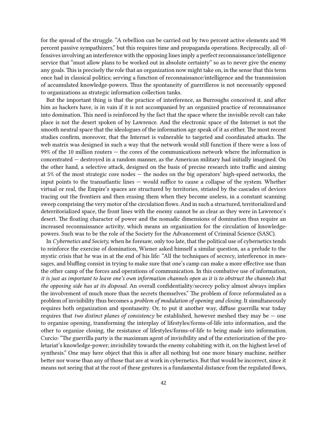for the spread of the struggle. "A rebellion can be carried out by two percent active elements and 98 percent passive sympathizers," but this requires time and propaganda operations. Reciprocally, all offensives involving an interference with the opposing lines imply a perfect reconnaissance/intelligence service that "must allow plans to be worked out in absolute certainty" so as to never give the enemy any goals. This is precisely the role that an organization now might take on, in the sense that this term once had in classical politics; serving a function of reconnaissance/intelligence and the transmission of accumulated knowledge-powers. Thus the spontaneity of guerrilleros is not necessarily opposed to organizations as strategic information collection tanks.

But the important thing is that the practice of interference, as Burroughs conceived it, and after him as hackers have, is in vain if it is not accompanied by an organized practice of reconnaissance into domination. This need is reinforced by the fact that the space where the invisible revolt can take place is not the desert spoken of by Lawrence. And the electronic space of the Internet is not the smooth neutral space that the ideologues of the information age speak of it as either. The most recent studies confirm, moreover, that the Internet is vulnerable to targeted and coordinated attacks. The web matrix was designed in such a way that the network would still function if there were a loss of  $99\%$  of the 10 million routers  $-$  the cores of the communications network where the information is concentrated — destroyed in a random manner, as the American military had initially imagined. On the other hand, a selective attack, designed on the basis of precise research into traffic and aiming at  $5\%$  of the most strategic core nodes  $-$  the nodes on the big operators' high-speed networks, the input points to the transatlantic lines – would suffice to cause a collapse of the system. Whether virtual or real, the Empire's spaces are structured by territories, striated by the cascades of devices tracing out the frontiers and then erasing them when they become useless, in a constant scanning sweep comprising the very motor of the circulation flows. And in such a structured, territorialized and deterritorialized space, the front lines with the enemy cannot be as clear as they were in Lawrence's desert. The floating character of power and the nomadic dimensions of domination thus require an increased reconnaissance activity, which means an organization for the circulation of knowledgepowers. Such was to be the role of the Society for the Advancement of Criminal Science (SASC).

In Cybernetics and Society, when he foresaw, only too late, that the political use of cybernetics tends to reinforce the exercise of domination, Wiener asked himself a similar question, as a prelude to the mystic crisis that he was in at the end of his life: "All the techniques of secrecy, interference in messages, and bluffing consist in trying to make sure that one's camp can make a more effective use than the other camp of the forces and operations of communication. In this combative use of information, it is just as important to leave one's own information channels open as it is to obstruct the channels that the opposing side has at its disposal. An overall confidentiality/secrecy policy almost always implies the involvement of much more than the secrets themselves." The problem of force reformulated as a problem of invisibility thus becomes a *problem of modulation of opening and closing*. It simultaneously requires both organization and spontaneity. Or, to put it another way, diffuse guerrilla war today requires that *two distinct planes of consistency* be established, however meshed they may be  $-$  one to organize opening, transforming the interplay of lifestyles/forms-of-life into information, and the other to organize closing, the resistance of lifestyles/forms-of-life to being made into information. Curcio: "The guerrilla party is the maximum agent of invisibility and of the exteriorization of the proletariat's knowledge-power; invisibility towards the enemy cohabiting with it, on the highest level of synthesis." One may here object that this is after all nothing but one more binary machine, neither better nor worse than any of those that are at work in cybernetics. But that would be incorrect, since it means not seeing that at the root of these gestures is a fundamental distance from the regulated flows,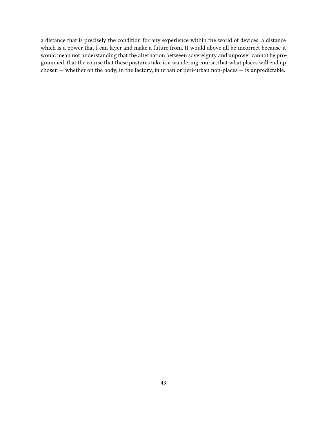a distance that is precisely the condition for any experience within the world of devices, a distance which is a power that I can layer and make a future from. It would above all be incorrect because it would mean not understanding that the alternation between sovereignty and unpower cannot be programmed, that the course that these postures take is a wandering course, that what places will end up  $\epsilon$ hosen — whether on the body, in the factory, in urban or peri-urban non-places — is unpredictable.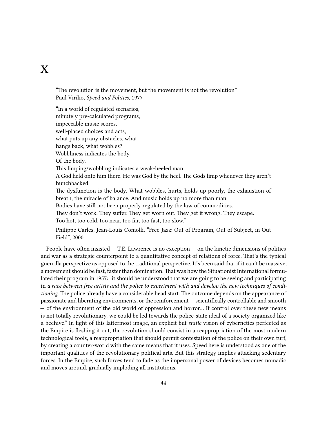<span id="page-43-0"></span>X

"The revolution is the movement, but the movement is not the revolution" Paul Virilio, Speed and Politics, 1977

"In a world of regulated scenarios, minutely pre-calculated programs, impeccable music scores, well-placed choices and acts, what puts up any obstacles, what hangs back, what wobbles? Wobbliness indicates the body. Of the body. This limping/wobbling indicates a weak-heeled man. A God held onto him there. He was God by the heel. The Gods limp whenever they aren't hunchbacked. The dysfunction is the body. What wobbles, hurts, holds up poorly, the exhaustion of breath, the miracle of balance. And music holds up no more than man. Bodies have still not been properly regulated by the law of commodities. They don't work. They suffer. They get worn out. They get it wrong. They escape. Too hot, too cold, too near, too far, too fast, too slow." Philippe Carles, Jean-Louis Comolli, "Free Jazz: Out of Program, Out of Subject, in Out Field", 2000

People have often insisted  $-$  T.E. Lawrence is no exception  $-$  on the kinetic dimensions of politics and war as a strategic counterpoint to a quantitative concept of relations of force. That's the typical guerrilla perspective as opposed to the traditional perspective. It's been said that if it can't be massive, a movement should be fast, faster than domination. That was how the Situationist International formulated their program in 1957: "it should be understood that we are going to be seeing and participating in a race between free artists and the police to experiment with and develop the new techniques of conditioning. The police already have a considerable head start. The outcome depends on the appearance of passionate and liberating environments, or the reinforcement - scientifically controllable and smooth - of the environment of the old world of oppression and horror... If control over these new means is not totally revolutionary, we could be led towards the police-state ideal of a society organized like a beehive." In light of this lattermost image, an explicit but static vision of cybernetics perfected as the Empire is fleshing it out, the revolution should consist in a reappropriation of the most modern technological tools, a reappropriation that should permit contestation of the police on their own turf, by creating a counter-world with the same means that it uses. Speed here is understood as one of the important qualities of the revolutionary political arts. But this strategy implies attacking sedentary forces. In the Empire, such forces tend to fade as the impersonal power of devices becomes nomadic and moves around, gradually imploding all institutions.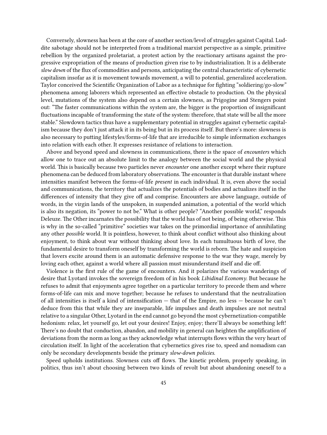Conversely, slowness has been at the core of another section/level of struggles against Capital. Luddite sabotage should not be interpreted from a traditional marxist perspective as a simple, primitive rebellion by the organized proletariat, a protest action by the reactionary artisans against the progressive expropriation of the means of production given rise to by industrialization. It is a deliberate slow down of the flux of commodities and persons, anticipating the central characteristic of cybernetic capitalism insofar as it is movement towards movement, a will to potential, generalized acceleration. Taylor conceived the Scientific Organization of Labor as a technique for fighting "soldiering/go-slow" phenomena among laborers which represented an effective obstacle to production. On the physical level, mutations of the system also depend on a certain slowness, as Prigogine and Stengers point out: "The faster communications within the system are, the bigger is the proportion of insignificant fluctuations incapable of transforming the state of the system: therefore, that state will be all the more stable." Slowdown tactics thus have a supplementary potential in struggles against cybernetic capitalism because they don't just attack it in its being but in its process itself. But there's more: slowness is also necessary to putting lifestyles/forms-of-life that are irreducible to simple information exchanges into relation with each other. It expresses resistance of relations to interaction.

Above and beyond speed and slowness in communications, there is the space of *encounters* which allow one to trace out an absolute limit to the analogy between the social world and the physical world. This is basically because two particles never encounter one another except where their rupture phenomena can be deduced from laboratory observations. The encounter is that durable instant where intensities manifest between the forms-of-life *present* in each individual. It is, even above the social and communications, the territory that actualizes the potentials of bodies and actualizes itself in the differences of intensity that they give off and comprise. Encounters are above language, outside of words, in the virgin lands of the unspoken, in suspended animation, a potential of the world which is also its negation, its "power to not be." What is other people? "Another possible world," responds Deleuze. The Other incarnates the possibility that the world has of not being, of being otherwise. This is why in the so-called "primitive" societies war takes on the primordial importance of annihilating any other *possible* world. It is pointless, however, to think about conflict without also thinking about enjoyment, to think about war without thinking about love. In each tumultuous birth of love, the fundamental desire to transform oneself by transforming the world is reborn. The hate and suspicion that lovers excite around them is an automatic defensive response to the war they wage, merely by loving each other, against a world where all passion must misunderstand itself and die off.

Violence is the first rule of the game of encounters. And it polarizes the various wanderings of desire that Lyotard invokes the sovereign freedom of in his book Libidinal Economy. But because he refuses to admit that enjoyments agree together on a particular territory to precede them and where forms-of-life can mix and move together; because he refuses to understand that the neutralization of all intensities is itself a kind of intensification – that of the Empire, no less – because he can't deduce from this that while they are inseparable, life impulses and death impulses are not neutral relative to a singular Other, Lyotard in the end cannot go beyond the most cybernetization-compatible hedonism: relax, let yourself go, let out your desires! Enjoy, enjoy; there'll always be something left! There's no doubt that conduction, abandon, and mobility in general can heighten the amplification of deviations from the norm as long as they acknowledge what interrupts flows within the very heart of circulation itself. In light of the acceleration that cybernetics gives rise to, speed and nomadism can only be secondary developments beside the primary slow-down policies.

Speed upholds institutions. Slowness cuts off flows. The kinetic problem, properly speaking, in politics, thus isn't about choosing between two kinds of revolt but about abandoning oneself to a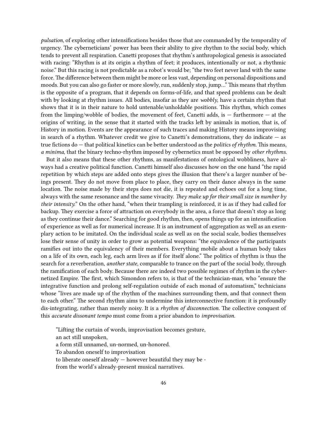pulsation, of exploring other intensifications besides those that are commanded by the temporality of urgency. The cyberneticians' power has been their ability to give rhythm to the social body, which tends to prevent all respiration. Canetti proposes that rhythm's anthropological genesis is associated with racing: "Rhythm is at its origin a rhythm of feet; it produces, intentionally or not, a rhythmic noise." But this racing is not predictable as a robot's would be; "the two feet never land with the same force. The difference between them might be more or less vast, depending on personal dispositions and moods. But you can also go faster or more slowly, run, suddenly stop, jump..." This means that rhythm is the opposite of a program, that it depends on forms-of-life, and that speed problems can be dealt with by looking at rhythm issues. All bodies, insofar as they are wobbly, have a certain rhythm that shows that it is in their nature to hold untenable/unholdable positions. This rhythm, which comes from the limping/wobble of bodies, the movement of feet, Canetti adds, is  $-$  furthermore  $-$  at the origins of writing, in the sense that it started with the tracks left by animals in motion, that is, of History in motion. Events are the appearance of such traces and making History means improvising in search of a rhythm. Whatever credit we give to Canetti's demonstrations, they do indicate  $-$  as true fictions  $do$  – that political kinetics can be better understood as the *politics of rhythm*. This means, a minima, that the binary techno-rhythm imposed by cybernetics must be opposed by other rhythms.

But it also means that these other rhythms, as manifestations of ontological wobbliness, have always had a creative political function. Canetti himself also discusses how on the one hand "the rapid repetition by which steps are added onto steps gives the illusion that there's a larger number of beings present. They do not move from place to place, they carry on their dance always in the same location. The noise made by their steps does not die, it is repeated and echoes out for a long time, always with the same resonance and the same vivacity. They make up for their small size in number by *their intensity.*" On the other hand, "when their trampling is reinforced, it is as if they had called for backup. They exercise a force of attraction on everybody in the area, a force that doesn't stop as long as they continue their dance." Searching for good rhythm, then, opens things up for an intensification of experience as well as for numerical increase. It is an instrument of aggregation as well as an exemplary action to be imitated. On the individual scale as well as on the social scale, bodies themselves lose their sense of unity in order to grow as potential weapons: "the equivalence of the participants ramifies out into the equivalency of their members. Everything mobile about a human body takes on a life of its own, each leg, each arm lives as if for itself alone." The politics of rhythm is thus the search for a reverberation, *another state*, comparable to trance on the part of the social body, through the ramification of each body. Because there are indeed two possible regimes of rhythm in the cybernetized Empire. The first, which Simondon refers to, is that of the technician-man, who "ensure the integrative function and prolong self-regulation outside of each monad of automatism," technicians whose "lives are made up of the rhythm of the machines surrounding them, and that connect them to each other." The second rhythm aims to undermine this interconnective function: it is profoundly dis-integrating, rather than merely noisy. It is a rhythm of disconnection. The collective conquest of this accurate dissonant tempo must come from a prior abandon to improvisation.

"Lifting the curtain of words, improvisation becomes gesture, an act still unspoken, a form still unnamed, un-normed, un-honored. To abandon oneself to improvisation to liberate oneself already - however beautiful they may be from the world's already-present musical narratives.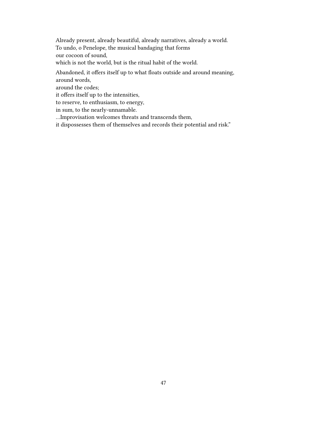Already present, already beautiful, already narratives, already a world. To undo, o Penelope, the musical bandaging that forms our cocoon of sound, which is not the world, but is the ritual habit of the world.

Abandoned, it offers itself up to what floats outside and around meaning, around words,

around the codes;

it offers itself up to the intensities,

to reserve, to enthusiasm, to energy,

in sum, to the nearly-unnamable.

... Improvisation welcomes threats and transcends them,

it dispossesses them of themselves and records their potential and risk."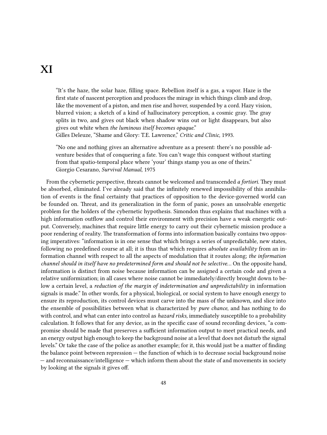### <span id="page-47-0"></span>XI

"It's the haze, the solar haze, filling space. Rebellion itself is a gas, a vapor. Haze is the first state of nascent perception and produces the mirage in which things climb and drop, like the movement of a piston, and men rise and hover, suspended by a cord. Hazy vision, blurred vision; a sketch of a kind of hallucinatory perception, a cosmic gray. The gray splits in two, and gives out black when shadow wins out or light disappears, but also gives out white when the luminous itself becomes opaque." Gilles Deleuze, "Shame and Glory: T.E. Lawrence," Critic and Clinic, 1993.

"No one and nothing gives an alternative adventure as a present: there's no possible adventure besides that of conquering a fate. You can't wage this conquest without starting from that spatio-temporal place where 'your' things stamp you as one of theirs." Giorgio Cesarano, Survival Manual, 1975

From the cybernetic perspective, threats cannot be welcomed and transcended a fortiori. They must be absorbed, eliminated. I've already said that the infinitely renewed impossibility of this annihilation of events is the final certainty that practices of opposition to the device-governed world can be founded on. Threat, and its generalization in the form of panic, poses an unsolvable energetic problem for the holders of the cybernetic hypothesis. Simondon thus explains that machines with a high information outflow and control their environment with precision have a weak energetic output. Conversely, machines that require little energy to carry out their cybernetic mission produce a poor rendering of reality. The transformation of forms into information basically contains two opposing imperatives: "information is in one sense that which brings a series of unpredictable, new states, following no predefined course at all; it is thus that which requires *absolute availability* from an information channel with respect to all the aspects of modulation that it routes along; the information channel should in itself have no predetermined form and should not be selective... On the opposite hand, information is distinct from noise because information can be assigned a certain code and given a relative uniformization; in all cases where noise cannot be immediately/directly brought down to below a certain level, a reduction of the margin of indetermination and unpredictability in information signals is made." In other words, for a physical, biological, or social system to have enough energy to ensure its reproduction, its control devices must carve into the mass of the unknown, and slice into the ensemble of possibilities between what is characterized by pure chance, and has nothing to do with control, and what can enter into control as *hazard risks*, immediately susceptible to a probability calculation. It follows that for any device, as in the specific case of sound recording devices, "a compromise should be made that preserves a sufficient information output to meet practical needs, and an energy output high enough to keep the background noise at a level that does not disturb the signal levels." Or take the case of the police as another example; for it, this would just be a matter of finding the balance point between repression - the function of which is to decrease social background noise - and reconnaissance/intelligence - which inform them about the state of and movements in society by looking at the signals it gives off.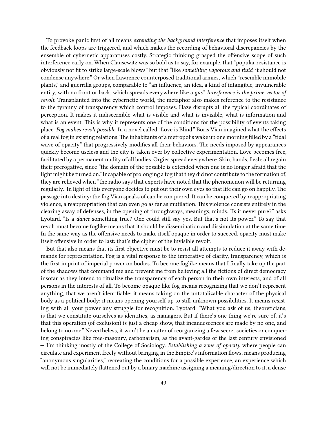To provoke panic first of all means extending the background interference that imposes itself when the feedback loops are triggered, and which makes the recording of behavioral discrepancies by the ensemble of cybernetic apparatuses costly. Strategic thinking grasped the offensive scope of such interference early on. When Clausewitz was so bold as to say, for example, that "popular resistance is obviously not fit to strike large-scale blows" but that "like something vaporous and fluid, it should not condense anywhere." Or when Lawrence counterposed traditional armies, which "resemble immobile plants," and guerrilla groups, comparable to "an influence, an idea, a kind of intangible, invulnerable entity, with no front or back, which spreads everywhere like a gas." Interference is the prime vector of revolt. Transplanted into the cybernetic world, the metaphor also makes reference to the resistance to the tyranny of transparency which control imposes. Haze disrupts all the typical coordinates of perception. It makes it indiscernible what is visible and what is invisible, what is information and what is an event. This is why it represents one of the conditions for the possibility of events taking place. Fog makes revolt possible. In a novel called "Love is Blind," Boris Vian imagined what the effects of a real fog in existing relations. The inhabitants of a metropolis wake up one morning filled by a "tidal" wave of opacity" that progressively modifies all their behaviors. The needs imposed by appearances quickly become useless and the city is taken over by collective experimentation. Love becomes free, facilitated by a permanent nudity of all bodies. Orgies spread everywhere. Skin, hands, flesh; all regain their prerogative, since "the domain of the possible is extended when one is no longer afraid that the light might be turned on." Incapable of prolonging a fog that they did not contribute to the formation of, they are relieved when "the radio says that experts have noted that the phenomenon will be returning regularly." In light of this everyone decides to put out their own eyes so that life can go on happily. The passage into destiny: the fog Vian speaks of can be conquered. It can be conquered by reappropriating violence, a reappropriation that can even go as far as mutilation. This violence consists entirely in the clearing away of defenses, in the opening of throughways, meanings, minds. "Is it never pure?" asks Lyotard. "Is a *dance* something true? One could still say yes. But that's not its power." To say that revolt must become foglike means that it should be dissemination and dissimulation at the same time. In the same way as the offensive needs to make itself opaque in order to succeed, opacity must make itself offensive in order to last: that's the cipher of the invisible revolt.

But that also means that its first objective must be to resist all attempts to reduce it away with demands for representation. Fog is a vital response to the imperative of clarity, transparency, which is the first imprint of imperial power on bodies. To become foglike means that I finally take up the part of the shadows that command me and prevent me from believing all the fictions of direct democracy insofar as they intend to ritualize the transparency of each person in their own interests, and of all persons in the interests of all. To become opaque like fog means recognizing that we don't represent anything, that we aren't identifiable; it means taking on the untotalizable character of the physical body as a political body; it means opening yourself up to still-unknown possibilities. It means resisting with all your power any struggle for recognition. Lyotard: "What you ask of us, theoreticians, is that we constitute ourselves as identities, as managers. But if there's one thing we're sure of, it's that this operation (of exclusion) is just a cheap show, that incandescences are made by no one, and belong to no one." Nevertheless, it won't be a matter of reorganizing a few secret societies or conquering conspiracies like free-masonry, carbonarism, as the avant-gardes of the last century envisioned - I'm thinking mostly of the College of Sociology. Establishing a zone of opacity where people can circulate and experiment freely without bringing in the Empire's information flows, means producing "anonymous singularities," recreating the conditions for a possible experience, an experience which will not be immediately flattened out by a binary machine assigning a meaning/direction to it, a dense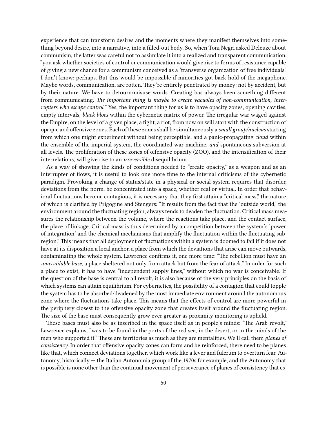experience that can transform desires and the moments where they manifest themselves into something beyond desire, into a narrative, into a filled-out body. So, when Toni Negri asked Deleuze about communism, the latter was careful not to assimilate it into a realized and transparent communication: "you ask whether societies of control or communication would give rise to forms of resistance capable of giving a new chance for a communism conceived as a 'transverse organization of free individuals.' I don't know; perhaps. But this would be impossible if minorities got back hold of the megaphone. Maybe words, communication, are rotten. They're entirely penetrated by money: not by accident, but by their nature. We have to detourn/misuse words. Creating has always been something different from communicating. The important thing is maybe to create vacuoles of non-communication, interrupters who escape control." Yes, the important thing for us is to have opacity zones, opening cavities, empty intervals, black blocs within the cybernetic matrix of power. The irregular war waged against the Empire, on the level of a given place, a fight, a riot, from now on will start with the construction of opaque and offensive zones. Each of these zones shall be simultaneously a small group/nucleus starting from which one might experiment without being perceptible, and a panic-propagating cloud within the ensemble of the imperial system, the coordinated war machine, and spontaneous subversion at all levels. The proliferation of these zones of offensive opacity (ZOO), and the intensification of their interrelations, will give rise to an *irreversible* disequilibrium.

As a way of showing the kinds of conditions needed to "create opacity," as a weapon and as an interrupter of flows, it is useful to look one more time to the internal criticisms of the cybernetic paradigm. Provoking a change of status/state in a physical or social system requires that disorder, deviations from the norm, be concentrated into a space, whether real or virtual. In order that behavioral fluctuations become contagious, it is necessary that they first attain a "critical mass," the nature of which is clarified by Prigogine and Stengers: "It results from the fact that the 'outside world,' the environment around the fluctuating region, always tends to deaden the fluctuation. Critical mass measures the relationship between the volume, where the reactions take place, and the contact surface, the place of linkage. Critical mass is thus determined by a competition between the system's 'power of integration' and the chemical mechanisms that amplify the fluctuation within the fluctuating subregion." This means that all deployment of fluctuations within a system is doomed to fail if it does not have at its disposition a local anchor, a place from which the deviations that arise can move outwards, contaminating the whole system. Lawrence confirms it, one more time: "The rebellion must have an unassailable base, a place sheltered not only from attack but from the fear of attack." In order for such a place to exist, it has to have "independent supply lines," without which no war is conceivable. If the question of the base is central to all revolt, it is also because of the very principles on the basis of which systems can attain equilibrium. For cybernetics, the possibility of a contagion that could topple the system has to be absorbed/deadened by the most immediate environment around the autonomous zone where the fluctuations take place. This means that the effects of control are more powerful in the periphery closest to the offensive opacity zone that creates itself around the fluctuating region. The size of the base must consequently grow ever greater as proximity monitoring is upheld.

These bases must also be as inscribed in the space itself as in people's minds: "The Arab revolt," Lawrence explains, "was to be found in the ports of the red sea, in the desert, or in the minds of the men who supported it." These are territories as much as they are mentalities. We'll call them planes of consistency. In order that offensive opacity zones can form and be reinforced, there need to be planes like that, which connect deviations together, which work like a lever and fulcrum to overturn fear. Autonomy, historically — the Italian Autonomia group of the 1970s for example, and the Autonomy that is possible is none other than the continual movement of perseverance of planes of consistency that es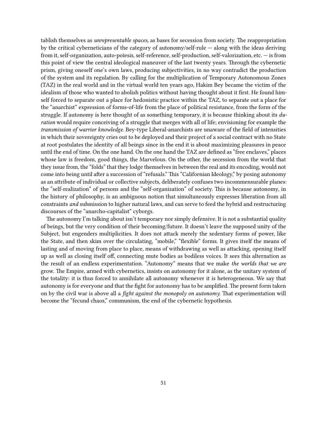tablish themselves as *unrepresentable spaces*, as bases for secession from society. The reappropriation by the critical cyberneticians of the category of autonomy/self-rule  $-$  along with the ideas deriving from it, self-organization, auto-poïesis, self-reference, self-production, self-valorization, etc. - is from this point of view the central ideological maneuver of the last twenty years. Through the cybernetic prism, giving oneself one's own laws, producing subjectivities, in no way contradict the production of the system and its regulation. By calling for the multiplication of Temporary Autonomous Zones (TAZ) in the real world and in the virtual world ten years ago, Hakim Bey became the victim of the idealism of those who wanted to abolish politics without having thought about it first. He found himself forced to separate out a place for hedonistic practice within the TAZ, to separate out a place for the "anarchist" expression of forms-of-life from the place of political resistance, from the form of the struggle. If autonomy is here thought of as something temporary, it is because thinking about its  $du$ ration would require conceiving of a struggle that merges with all of life; envisioning for example the transmission of warrior knowledge. Bey-type Liberal-anarchists are unaware of the field of intensities in which their sovereignty cries out to be deployed and their project of a social contract with no State at root postulates the identity of all beings since in the end it is about maximizing pleasures in peace until the end of time. On the one hand. On the one hand the TAZ are defined as "free enclaves," places whose law is freedom, good things, the Marvelous. On the other, the secession from the world that they issue from, the "folds" that they lodge themselves in between the real and its encoding, would not come into being until after a succession of "refusals." This "Californian Ideology," by posing autonomy as an attribute of individual or collective subjects, deliberately confuses two incommensurable planes: the "self-realization" of persons and the "self-organization" of society. This is because autonomy, in the history of philosophy, is an ambiguous notion that simultaneously expresses liberation from all constraints and submission to higher natural laws, and can serve to feed the hybrid and restructuring discourses of the "anarcho-capitalist" cyborgs.

The autonomy I'm talking about isn't temporary nor simply defensive. It is not a substantial quality of beings, but the very condition of their becoming/future. It doesn't leave the supposed unity of the Subject, but engenders multiplicities. It does not attack merely the sedentary forms of power, like the State, and then skim over the circulating, "mobile," "flexible" forms. It gives itself the means of lasting and of moving from place to place, means of withdrawing as well as attacking, opening itself up as well as closing itself off, connecting mute bodies as bodiless voices. It sees this alternation as the result of an endless experimentation. "Autonomy" means that we make the worlds that we are grow. The Empire, armed with cybernetics, insists on autonomy for it alone, as the unitary system of the totality: it is thus forced to annihilate all autonomy whenever it is heterogeneous. We say that autonomy is for everyone and that the fight for autonomy has to be amplified. The present form taken on by the civil war is above all a *fight against the monopoly on autonomy*. That experimentation will become the "fecund chaos," communism, the end of the cybernetic hypothesis.